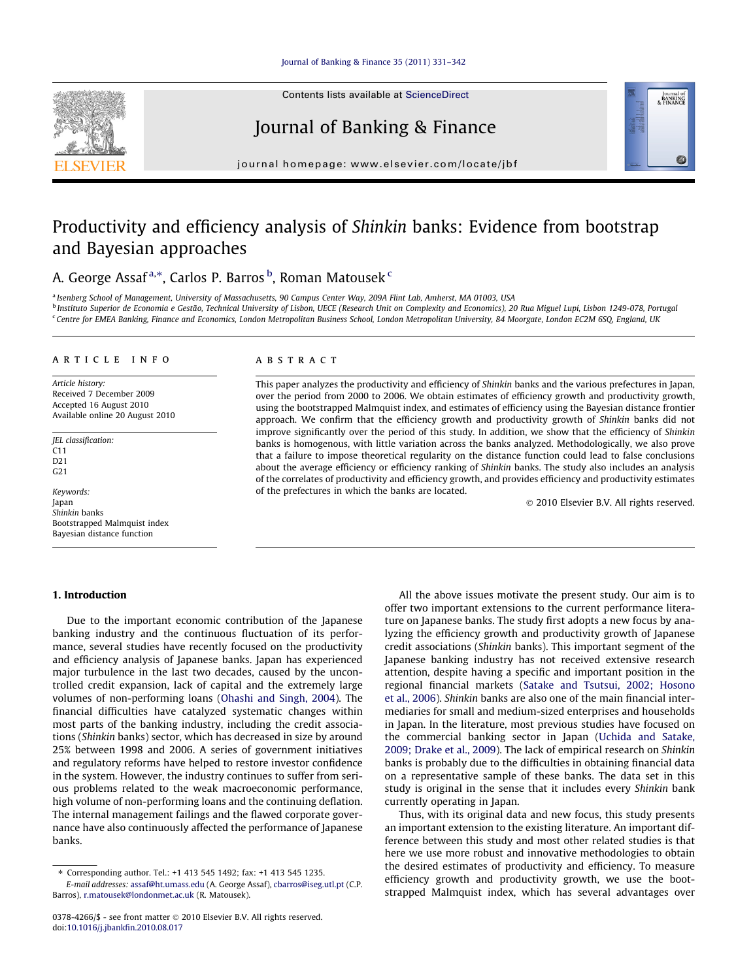### [Journal of Banking & Finance 35 \(2011\) 331–342](http://dx.doi.org/10.1016/j.jbankfin.2010.08.017)



Contents lists available at [ScienceDirect](http://www.sciencedirect.com/science/journal/03784266)

# Journal of Banking & Finance

journal homepage: [www.elsevier.com/locate/jbf](http://www.elsevier.com/locate/jbf)

# Productivity and efficiency analysis of Shinkin banks: Evidence from bootstrap and Bayesian approaches

A. George Assaf<sup>a,</sup>\*, Carlos P. Barros <sup>b</sup>, Roman Matousek <sup>c</sup>

<sup>a</sup> Isenberg School of Management, University of Massachusetts, 90 Campus Center Way, 209A Flint Lab, Amherst, MA 01003, USA <sup>b</sup> Instituto Superior de Economia e Gestão, Technical University of Lisbon, UECE (Research Unit on Complexity and Economics), 20 Rua Miguel Lupi, Lisbon 1249-078, Portugal <sup>c</sup> Centre for EMEA Banking, Finance and Economics, London Metropolitan Business School, London Metropolitan University, 84 Moorgate, London EC2M 6SQ, England, UK

## article info

Article history: Received 7 December 2009 Accepted 16 August 2010 Available online 20 August 2010

JEL classification: C11 D21  $C<sub>21</sub>$ 

Keywords: Japan Shinkin banks Bootstrapped Malmquist index Bayesian distance function

#### 1. Introduction

Due to the important economic contribution of the Japanese banking industry and the continuous fluctuation of its performance, several studies have recently focused on the productivity and efficiency analysis of Japanese banks. Japan has experienced major turbulence in the last two decades, caused by the uncontrolled credit expansion, lack of capital and the extremely large volumes of non-performing loans ([Ohashi and Singh, 2004](#page-10-0)). The financial difficulties have catalyzed systematic changes within most parts of the banking industry, including the credit associations (Shinkin banks) sector, which has decreased in size by around 25% between 1998 and 2006. A series of government initiatives and regulatory reforms have helped to restore investor confidence in the system. However, the industry continues to suffer from serious problems related to the weak macroeconomic performance, high volume of non-performing loans and the continuing deflation. The internal management failings and the flawed corporate governance have also continuously affected the performance of Japanese banks.

#### **ABSTRACT**

This paper analyzes the productivity and efficiency of Shinkin banks and the various prefectures in Japan, over the period from 2000 to 2006. We obtain estimates of efficiency growth and productivity growth, using the bootstrapped Malmquist index, and estimates of efficiency using the Bayesian distance frontier approach. We confirm that the efficiency growth and productivity growth of Shinkin banks did not improve significantly over the period of this study. In addition, we show that the efficiency of Shinkin banks is homogenous, with little variation across the banks analyzed. Methodologically, we also prove that a failure to impose theoretical regularity on the distance function could lead to false conclusions about the average efficiency or efficiency ranking of Shinkin banks. The study also includes an analysis of the correlates of productivity and efficiency growth, and provides efficiency and productivity estimates of the prefectures in which the banks are located.

- 2010 Elsevier B.V. All rights reserved.

Journal of<br>BANKING<br>& FINANCE

All the above issues motivate the present study. Our aim is to offer two important extensions to the current performance literature on Japanese banks. The study first adopts a new focus by analyzing the efficiency growth and productivity growth of Japanese credit associations (Shinkin banks). This important segment of the Japanese banking industry has not received extensive research attention, despite having a specific and important position in the regional financial markets ([Satake and Tsutsui, 2002; Hosono](#page-10-0) [et al., 2006\)](#page-10-0). Shinkin banks are also one of the main financial intermediaries for small and medium-sized enterprises and households in Japan. In the literature, most previous studies have focused on the commercial banking sector in Japan ([Uchida and Satake,](#page-11-0) [2009; Drake et al., 2009](#page-11-0)). The lack of empirical research on Shinkin banks is probably due to the difficulties in obtaining financial data on a representative sample of these banks. The data set in this study is original in the sense that it includes every Shinkin bank currently operating in Japan.

Thus, with its original data and new focus, this study presents an important extension to the existing literature. An important difference between this study and most other related studies is that here we use more robust and innovative methodologies to obtain the desired estimates of productivity and efficiency. To measure efficiency growth and productivity growth, we use the bootstrapped Malmquist index, which has several advantages over

<sup>⇑</sup> Corresponding author. Tel.: +1 413 545 1492; fax: +1 413 545 1235. E-mail addresses: [assaf@ht.umass.edu](mailto:assaf@ht.umass.edu) (A. George Assaf), [cbarros@iseg.utl.pt](mailto:cbarros@iseg.utl.pt) (C.P. Barros), [r.matousek@londonmet.ac.uk](mailto:r.matousek@londonmet.ac.uk) (R. Matousek).

<sup>0378-4266/\$ -</sup> see front matter © 2010 Elsevier B.V. All rights reserved. doi[:10.1016/j.jbankfin.2010.08.017](http://dx.doi.org/10.1016/j.jbankfin.2010.08.017)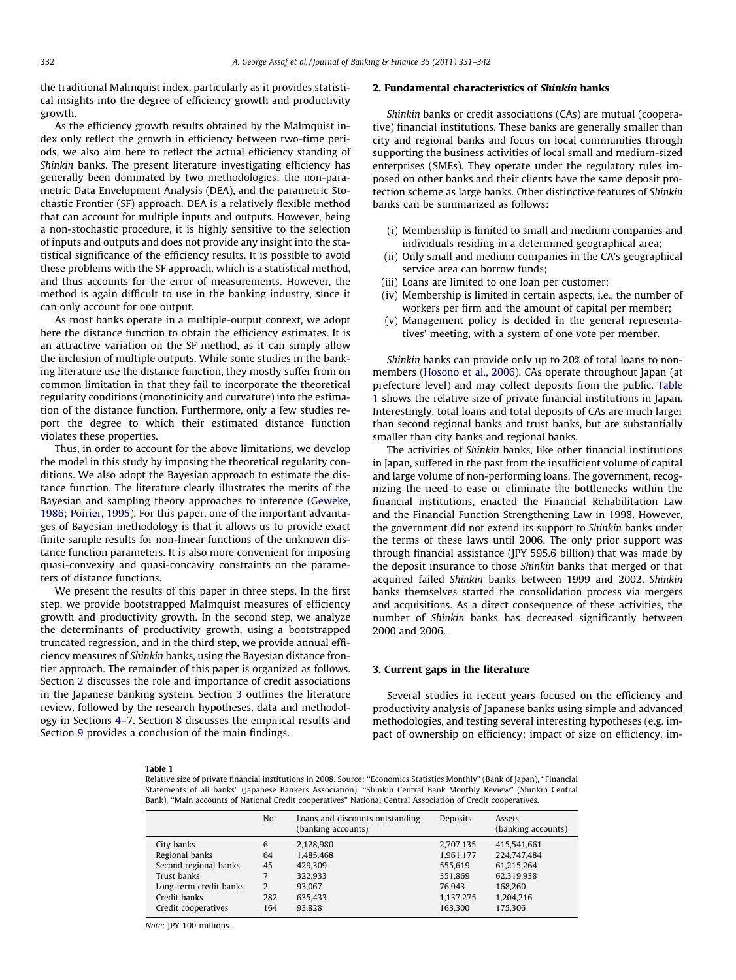the traditional Malmquist index, particularly as it provides statistical insights into the degree of efficiency growth and productivity growth.

As the efficiency growth results obtained by the Malmquist index only reflect the growth in efficiency between two-time periods, we also aim here to reflect the actual efficiency standing of Shinkin banks. The present literature investigating efficiency has generally been dominated by two methodologies: the non-parametric Data Envelopment Analysis (DEA), and the parametric Stochastic Frontier (SF) approach. DEA is a relatively flexible method that can account for multiple inputs and outputs. However, being a non-stochastic procedure, it is highly sensitive to the selection of inputs and outputs and does not provide any insight into the statistical significance of the efficiency results. It is possible to avoid these problems with the SF approach, which is a statistical method, and thus accounts for the error of measurements. However, the method is again difficult to use in the banking industry, since it can only account for one output.

As most banks operate in a multiple-output context, we adopt here the distance function to obtain the efficiency estimates. It is an attractive variation on the SF method, as it can simply allow the inclusion of multiple outputs. While some studies in the banking literature use the distance function, they mostly suffer from on common limitation in that they fail to incorporate the theoretical regularity conditions (monotinicity and curvature) into the estimation of the distance function. Furthermore, only a few studies report the degree to which their estimated distance function violates these properties.

Thus, in order to account for the above limitations, we develop the model in this study by imposing the theoretical regularity conditions. We also adopt the Bayesian approach to estimate the distance function. The literature clearly illustrates the merits of the Bayesian and sampling theory approaches to inference ([Geweke,](#page-10-0) [1986; Poirier, 1995](#page-10-0)). For this paper, one of the important advantages of Bayesian methodology is that it allows us to provide exact finite sample results for non-linear functions of the unknown distance function parameters. It is also more convenient for imposing quasi-convexity and quasi-concavity constraints on the parameters of distance functions.

We present the results of this paper in three steps. In the first step, we provide bootstrapped Malmquist measures of efficiency growth and productivity growth. In the second step, we analyze the determinants of productivity growth, using a bootstrapped truncated regression, and in the third step, we provide annual efficiency measures of Shinkin banks, using the Bayesian distance frontier approach. The remainder of this paper is organized as follows. Section 2 discusses the role and importance of credit associations in the Japanese banking system. Section 3 outlines the literature review, followed by the research hypotheses, data and methodology in Sections [4–7.](#page-2-0) Section [8](#page-5-0) discusses the empirical results and Section [9](#page-9-0) provides a conclusion of the main findings.

#### 2. Fundamental characteristics of Shinkin banks

Shinkin banks or credit associations (CAs) are mutual (cooperative) financial institutions. These banks are generally smaller than city and regional banks and focus on local communities through supporting the business activities of local small and medium-sized enterprises (SMEs). They operate under the regulatory rules imposed on other banks and their clients have the same deposit protection scheme as large banks. Other distinctive features of Shinkin banks can be summarized as follows:

- (i) Membership is limited to small and medium companies and individuals residing in a determined geographical area;
- (ii) Only small and medium companies in the CA's geographical service area can borrow funds;
- (iii) Loans are limited to one loan per customer;
- (iv) Membership is limited in certain aspects, i.e., the number of workers per firm and the amount of capital per member;
- (v) Management policy is decided in the general representatives' meeting, with a system of one vote per member.

Shinkin banks can provide only up to 20% of total loans to nonmembers [\(Hosono et al., 2006\)](#page-10-0). CAs operate throughout Japan (at prefecture level) and may collect deposits from the public. Table 1 shows the relative size of private financial institutions in Japan. Interestingly, total loans and total deposits of CAs are much larger than second regional banks and trust banks, but are substantially smaller than city banks and regional banks.

The activities of Shinkin banks, like other financial institutions in Japan, suffered in the past from the insufficient volume of capital and large volume of non-performing loans. The government, recognizing the need to ease or eliminate the bottlenecks within the financial institutions, enacted the Financial Rehabilitation Law and the Financial Function Strengthening Law in 1998. However, the government did not extend its support to Shinkin banks under the terms of these laws until 2006. The only prior support was through financial assistance (JPY 595.6 billion) that was made by the deposit insurance to those Shinkin banks that merged or that acquired failed Shinkin banks between 1999 and 2002. Shinkin banks themselves started the consolidation process via mergers and acquisitions. As a direct consequence of these activities, the number of Shinkin banks has decreased significantly between 2000 and 2006.

#### 3. Current gaps in the literature

Several studies in recent years focused on the efficiency and productivity analysis of Japanese banks using simple and advanced methodologies, and testing several interesting hypotheses (e.g. impact of ownership on efficiency; impact of size on efficiency, im-

#### Table 1

Relative size of private financial institutions in 2008. Source: ''Economics Statistics Monthly" (Bank of Japan), ''Financial Statements of all banks" (Japanese Bankers Association), ''Shinkin Central Bank Monthly Review" (Shinkin Central Bank), ''Main accounts of National Credit cooperatives" National Central Association of Credit cooperatives.

|                        | No. | Loans and discounts outstanding<br>(banking accounts) | Deposits  | Assets<br>(banking accounts) |
|------------------------|-----|-------------------------------------------------------|-----------|------------------------------|
| City banks             | 6   | 2.128.980                                             | 2,707,135 | 415.541.661                  |
| Regional banks         | 64  | 1,485,468                                             | 1,961,177 | 224.747.484                  |
| Second regional banks  | 45  | 429.309                                               | 555,619   | 61,215,264                   |
| Trust banks            | 7   | 322.933                                               | 351,869   | 62.319.938                   |
| Long-term credit banks | 2   | 93.067                                                | 76.943    | 168.260                      |
| Credit banks           | 282 | 635,433                                               | 1,137,275 | 1,204,216                    |
| Credit cooperatives    | 164 | 93.828                                                | 163.300   | 175.306                      |

Note: JPY 100 millions.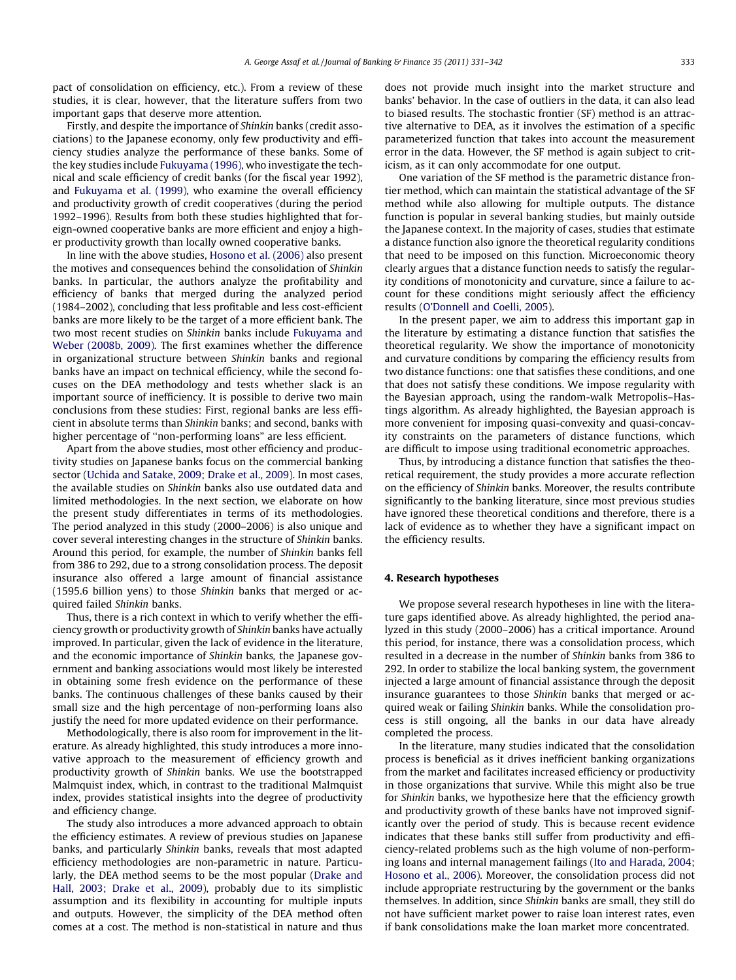<span id="page-2-0"></span>pact of consolidation on efficiency, etc.). From a review of these studies, it is clear, however, that the literature suffers from two important gaps that deserve more attention.

Firstly, and despite the importance of Shinkin banks (credit associations) to the Japanese economy, only few productivity and efficiency studies analyze the performance of these banks. Some of the key studies include [Fukuyama \(1996\)](#page-10-0), who investigate the technical and scale efficiency of credit banks (for the fiscal year 1992), and [Fukuyama et al. \(1999\)](#page-10-0), who examine the overall efficiency and productivity growth of credit cooperatives (during the period 1992–1996). Results from both these studies highlighted that foreign-owned cooperative banks are more efficient and enjoy a higher productivity growth than locally owned cooperative banks.

In line with the above studies, [Hosono et al. \(2006\)](#page-10-0) also present the motives and consequences behind the consolidation of Shinkin banks. In particular, the authors analyze the profitability and efficiency of banks that merged during the analyzed period (1984–2002), concluding that less profitable and less cost-efficient banks are more likely to be the target of a more efficient bank. The two most recent studies on Shinkin banks include [Fukuyama and](#page-10-0) [Weber \(2008b, 2009\).](#page-10-0) The first examines whether the difference in organizational structure between Shinkin banks and regional banks have an impact on technical efficiency, while the second focuses on the DEA methodology and tests whether slack is an important source of inefficiency. It is possible to derive two main conclusions from these studies: First, regional banks are less efficient in absolute terms than Shinkin banks; and second, banks with higher percentage of ''non-performing loans" are less efficient.

Apart from the above studies, most other efficiency and productivity studies on Japanese banks focus on the commercial banking sector ([Uchida and Satake, 2009; Drake et al., 2009\)](#page-11-0). In most cases, the available studies on Shinkin banks also use outdated data and limited methodologies. In the next section, we elaborate on how the present study differentiates in terms of its methodologies. The period analyzed in this study (2000–2006) is also unique and cover several interesting changes in the structure of Shinkin banks. Around this period, for example, the number of Shinkin banks fell from 386 to 292, due to a strong consolidation process. The deposit insurance also offered a large amount of financial assistance (1595.6 billion yens) to those Shinkin banks that merged or acquired failed Shinkin banks.

Thus, there is a rich context in which to verify whether the efficiency growth or productivity growth of Shinkin banks have actually improved. In particular, given the lack of evidence in the literature, and the economic importance of Shinkin banks, the Japanese government and banking associations would most likely be interested in obtaining some fresh evidence on the performance of these banks. The continuous challenges of these banks caused by their small size and the high percentage of non-performing loans also justify the need for more updated evidence on their performance.

Methodologically, there is also room for improvement in the literature. As already highlighted, this study introduces a more innovative approach to the measurement of efficiency growth and productivity growth of Shinkin banks. We use the bootstrapped Malmquist index, which, in contrast to the traditional Malmquist index, provides statistical insights into the degree of productivity and efficiency change.

The study also introduces a more advanced approach to obtain the efficiency estimates. A review of previous studies on Japanese banks, and particularly Shinkin banks, reveals that most adapted efficiency methodologies are non-parametric in nature. Particularly, the DEA method seems to be the most popular [\(Drake and](#page-10-0) [Hall, 2003; Drake et al., 2009](#page-10-0)), probably due to its simplistic assumption and its flexibility in accounting for multiple inputs and outputs. However, the simplicity of the DEA method often comes at a cost. The method is non-statistical in nature and thus does not provide much insight into the market structure and banks' behavior. In the case of outliers in the data, it can also lead to biased results. The stochastic frontier (SF) method is an attractive alternative to DEA, as it involves the estimation of a specific parameterized function that takes into account the measurement error in the data. However, the SF method is again subject to criticism, as it can only accommodate for one output.

One variation of the SF method is the parametric distance frontier method, which can maintain the statistical advantage of the SF method while also allowing for multiple outputs. The distance function is popular in several banking studies, but mainly outside the Japanese context. In the majority of cases, studies that estimate a distance function also ignore the theoretical regularity conditions that need to be imposed on this function. Microeconomic theory clearly argues that a distance function needs to satisfy the regularity conditions of monotonicity and curvature, since a failure to account for these conditions might seriously affect the efficiency results ([O'Donnell and Coelli, 2005\)](#page-10-0).

In the present paper, we aim to address this important gap in the literature by estimating a distance function that satisfies the theoretical regularity. We show the importance of monotonicity and curvature conditions by comparing the efficiency results from two distance functions: one that satisfies these conditions, and one that does not satisfy these conditions. We impose regularity with the Bayesian approach, using the random-walk Metropolis–Hastings algorithm. As already highlighted, the Bayesian approach is more convenient for imposing quasi-convexity and quasi-concavity constraints on the parameters of distance functions, which are difficult to impose using traditional econometric approaches.

Thus, by introducing a distance function that satisfies the theoretical requirement, the study provides a more accurate reflection on the efficiency of Shinkin banks. Moreover, the results contribute significantly to the banking literature, since most previous studies have ignored these theoretical conditions and therefore, there is a lack of evidence as to whether they have a significant impact on the efficiency results.

#### 4. Research hypotheses

We propose several research hypotheses in line with the literature gaps identified above. As already highlighted, the period analyzed in this study (2000–2006) has a critical importance. Around this period, for instance, there was a consolidation process, which resulted in a decrease in the number of Shinkin banks from 386 to 292. In order to stabilize the local banking system, the government injected a large amount of financial assistance through the deposit insurance guarantees to those Shinkin banks that merged or acquired weak or failing Shinkin banks. While the consolidation process is still ongoing, all the banks in our data have already completed the process.

In the literature, many studies indicated that the consolidation process is beneficial as it drives inefficient banking organizations from the market and facilitates increased efficiency or productivity in those organizations that survive. While this might also be true for Shinkin banks, we hypothesize here that the efficiency growth and productivity growth of these banks have not improved significantly over the period of study. This is because recent evidence indicates that these banks still suffer from productivity and efficiency-related problems such as the high volume of non-performing loans and internal management failings ([Ito and Harada, 2004;](#page-10-0) [Hosono et al., 2006\)](#page-10-0). Moreover, the consolidation process did not include appropriate restructuring by the government or the banks themselves. In addition, since Shinkin banks are small, they still do not have sufficient market power to raise loan interest rates, even if bank consolidations make the loan market more concentrated.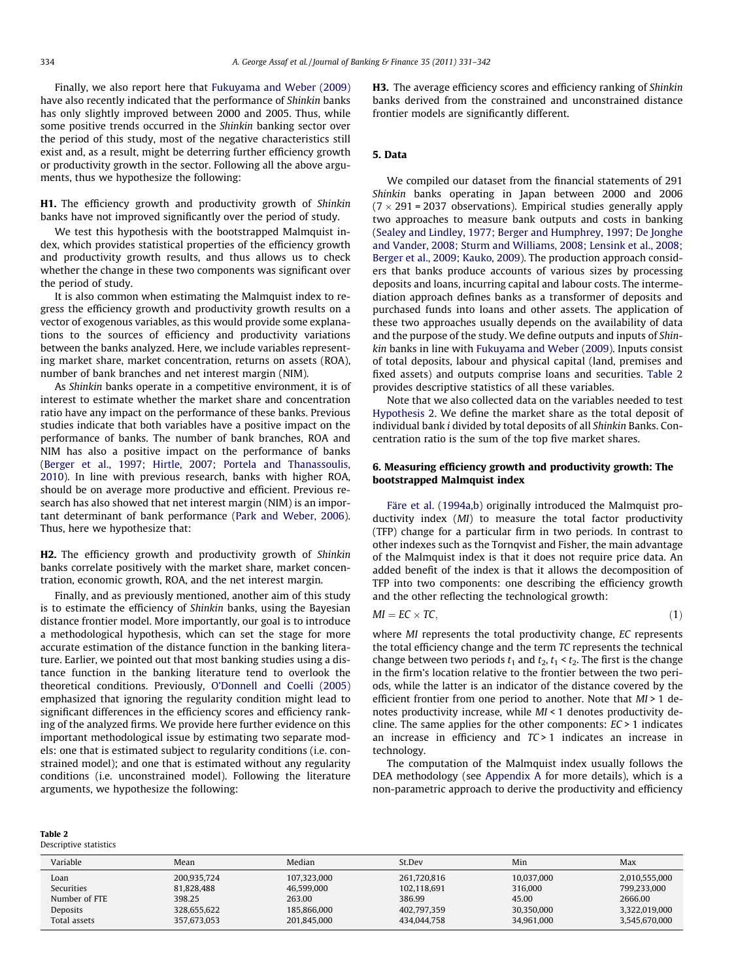<span id="page-3-0"></span>Finally, we also report here that [Fukuyama and Weber \(2009\)](#page-10-0) have also recently indicated that the performance of Shinkin banks has only slightly improved between 2000 and 2005. Thus, while some positive trends occurred in the Shinkin banking sector over the period of this study, most of the negative characteristics still exist and, as a result, might be deterring further efficiency growth or productivity growth in the sector. Following all the above arguments, thus we hypothesize the following:

H1. The efficiency growth and productivity growth of Shinkin banks have not improved significantly over the period of study.

We test this hypothesis with the bootstrapped Malmquist index, which provides statistical properties of the efficiency growth and productivity growth results, and thus allows us to check whether the change in these two components was significant over the period of study.

It is also common when estimating the Malmquist index to regress the efficiency growth and productivity growth results on a vector of exogenous variables, as this would provide some explanations to the sources of efficiency and productivity variations between the banks analyzed. Here, we include variables representing market share, market concentration, returns on assets (ROA), number of bank branches and net interest margin (NIM).

As Shinkin banks operate in a competitive environment, it is of interest to estimate whether the market share and concentration ratio have any impact on the performance of these banks. Previous studies indicate that both variables have a positive impact on the performance of banks. The number of bank branches, ROA and NIM has also a positive impact on the performance of banks ([Berger et al., 1997; Hirtle, 2007; Portela and Thanassoulis,](#page-10-0) [2010\)](#page-10-0). In line with previous research, banks with higher ROA, should be on average more productive and efficient. Previous research has also showed that net interest margin (NIM) is an important determinant of bank performance ([Park and Weber, 2006\)](#page-10-0). Thus, here we hypothesize that:

H2. The efficiency growth and productivity growth of Shinkin banks correlate positively with the market share, market concentration, economic growth, ROA, and the net interest margin.

Finally, and as previously mentioned, another aim of this study is to estimate the efficiency of Shinkin banks, using the Bayesian distance frontier model. More importantly, our goal is to introduce a methodological hypothesis, which can set the stage for more accurate estimation of the distance function in the banking literature. Earlier, we pointed out that most banking studies using a distance function in the banking literature tend to overlook the theoretical conditions. Previously, [O'Donnell and Coelli \(2005\)](#page-10-0) emphasized that ignoring the regularity condition might lead to significant differences in the efficiency scores and efficiency ranking of the analyzed firms. We provide here further evidence on this important methodological issue by estimating two separate models: one that is estimated subject to regularity conditions (i.e. constrained model); and one that is estimated without any regularity conditions (i.e. unconstrained model). Following the literature arguments, we hypothesize the following:

H3. The average efficiency scores and efficiency ranking of Shinkin banks derived from the constrained and unconstrained distance frontier models are significantly different.

# 5. Data

We compiled our dataset from the financial statements of 291 Shinkin banks operating in Japan between 2000 and 2006  $(7 \times 291 = 2037$  observations). Empirical studies generally apply two approaches to measure bank outputs and costs in banking ([Sealey and Lindley, 1977; Berger and Humphrey, 1997; De Jonghe](#page-11-0) [and Vander, 2008; Sturm and Williams, 2008; Lensink et al., 2008;](#page-11-0) [Berger et al., 2009; Kauko, 2009](#page-11-0)). The production approach considers that banks produce accounts of various sizes by processing deposits and loans, incurring capital and labour costs. The intermediation approach defines banks as a transformer of deposits and purchased funds into loans and other assets. The application of these two approaches usually depends on the availability of data and the purpose of the study. We define outputs and inputs of Shinkin banks in line with [Fukuyama and Weber \(2009\).](#page-10-0) Inputs consist of total deposits, labour and physical capital (land, premises and fixed assets) and outputs comprise loans and securities. Table 2 provides descriptive statistics of all these variables.

Note that we also collected data on the variables needed to test Hypothesis 2. We define the market share as the total deposit of individual bank i divided by total deposits of all Shinkin Banks. Concentration ratio is the sum of the top five market shares.

## 6. Measuring efficiency growth and productivity growth: The bootstrapped Malmquist index

[Färe et al. \(1994a,b\)](#page-10-0) originally introduced the Malmquist productivity index (MI) to measure the total factor productivity (TFP) change for a particular firm in two periods. In contrast to other indexes such as the Tornqvist and Fisher, the main advantage of the Malmquist index is that it does not require price data. An added benefit of the index is that it allows the decomposition of TFP into two components: one describing the efficiency growth and the other reflecting the technological growth:

$$
MI = EC \times TC,\tag{1}
$$

where MI represents the total productivity change, EC represents the total efficiency change and the term TC represents the technical change between two periods  $t_1$  and  $t_2$ ,  $t_1 < t_2$ . The first is the change in the firm's location relative to the frontier between the two periods, while the latter is an indicator of the distance covered by the efficient frontier from one period to another. Note that *MI* > 1 denotes productivity increase, while MI < 1 denotes productivity decline. The same applies for the other components:  $EC > 1$  indicates an increase in efficiency and  $TC > 1$  indicates an increase in technology.

The computation of the Malmquist index usually follows the DEA methodology (see [Appendix A](#page-10-0) for more details), which is a non-parametric approach to derive the productivity and efficiency

| <b>Table 2</b>         |  |
|------------------------|--|
| Descriptive statistics |  |

| Variable           | Mean                      | Median                    | St.Dev                     | Min                   | Max                          |
|--------------------|---------------------------|---------------------------|----------------------------|-----------------------|------------------------------|
| Loan<br>Securities | 200.935.724<br>81.828.488 | 107.323.000<br>46.599.000 | 261.720.816<br>102.118.691 | 10.037.000<br>316,000 | 2.010.555.000<br>799.233.000 |
| Number of FTE      | 398.25                    | 263.00                    | 386.99                     | 45.00                 | 2666.00                      |
| Deposits           | 328,655,622               | 185.866.000               | 402,797,359                | 30.350.000            | 3.322.019.000                |
| Total assets       | 357.673.053               | 201.845.000               | 434,044,758                | 34.961.000            | 3.545.670.000                |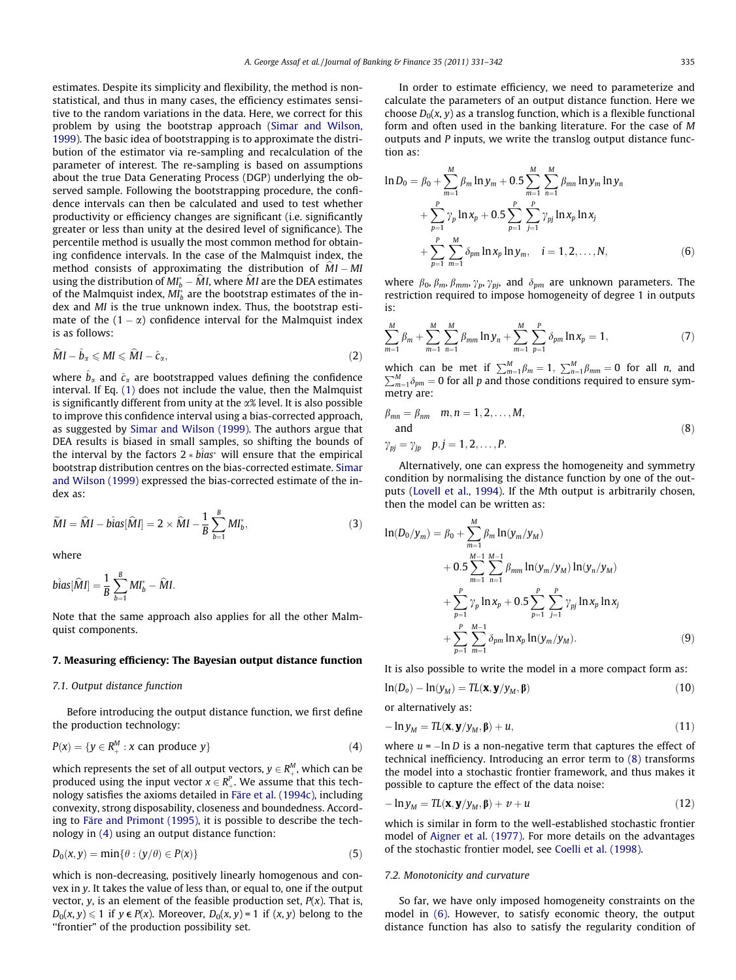<span id="page-4-0"></span>estimates. Despite its simplicity and flexibility, the method is nonstatistical, and thus in many cases, the efficiency estimates sensitive to the random variations in the data. Here, we correct for this problem by using the bootstrap approach ([Simar and Wilson,](#page-11-0) [1999\)](#page-11-0). The basic idea of bootstrapping is to approximate the distribution of the estimator via re-sampling and recalculation of the parameter of interest. The re-sampling is based on assumptions about the true Data Generating Process (DGP) underlying the observed sample. Following the bootstrapping procedure, the confidence intervals can then be calculated and used to test whether productivity or efficiency changes are significant (i.e. significantly greater or less than unity at the desired level of significance). The percentile method is usually the most common method for obtaining confidence intervals. In the case of the Malmquist index, the method consists of approximating the distribution of  $\hat{M}I - MI$ using the distribution of  $M_{b}^{*}-\hat{M}$ I, where  $\hat{M}$ I are the DEA estimates of the Malmquist index,  $MI_b^*$  are the bootstrap estimates of the index and MI is the true unknown index. Thus, the bootstrap estimate of the  $(1 - \alpha)$  confidence interval for the Malmquist index is as follows:

$$
\widehat{M}I - \widehat{b}_{\alpha} \leqslant MI \leqslant \widehat{M}I - \widehat{c}_{\alpha},\tag{2}
$$

where  $\hat{b}_\alpha$  and  $\hat{c}_\alpha$  are bootstrapped values defining the confidence interval. If Eq. [\(1\)](#page-3-0) does not include the value, then the Malmquist is significantly different from unity at the  $\alpha$ % level. It is also possible to improve this confidence interval using a bias-corrected approach, as suggested by [Simar and Wilson \(1999\)](#page-11-0). The authors argue that DEA results is biased in small samples, so shifting the bounds of the interval by the factors  $2 * bias^*$  will ensure that the empirical bootstrap distribution centres on the bias-corrected estimate. [Simar](#page-11-0) [and Wilson \(1999\)](#page-11-0) expressed the bias-corrected estimate of the index as:

$$
\widetilde{M}I = \widehat{M}I - b\hat{i}as[\widehat{M}I] = 2 \times \widehat{M}I - \frac{1}{B} \sum_{b=1}^{B} MI_b^*,
$$
\n(3)

where

$$
b\hat{i}as[\hat{M}I]=\frac{1}{B}\sum_{b=1}^{B}MI_b^*-\hat{M}I.
$$

Note that the same approach also applies for all the other Malmquist components.

#### 7. Measuring efficiency: The Bayesian output distance function

#### 7.1. Output distance function

Before introducing the output distance function, we first define the production technology:

$$
P(x) = \{ y \in R_+^M : x \text{ can produce } y \}
$$
 (4)

which represents the set of all output vectors,  $y \in R_+^M$ , which can be produced using the input vector  $x \in R_+^p$ . We assume that this technology satisfies the axioms detailed in [Färe et al. \(1994c\)](#page-10-0), including convexity, strong disposability, closeness and boundedness. According to [Färe and Primont \(1995\)](#page-10-0), it is possible to describe the technology in (4) using an output distance function:

$$
D_0(x, y) = \min\{\theta : (y/\theta) \in P(x)\}\tag{5}
$$

which is non-decreasing, positively linearly homogenous and convex in y. It takes the value of less than, or equal to, one if the output vector, y, is an element of the feasible production set,  $P(x)$ . That is,  $D_0(x, y) \leq 1$  if  $y \in P(x)$ . Moreover,  $D_0(x, y) = 1$  if  $(x, y)$  belong to the ''frontier" of the production possibility set.

In order to estimate efficiency, we need to parameterize and calculate the parameters of an output distance function. Here we choose  $D_0(x, y)$  as a translog function, which is a flexible functional form and often used in the banking literature. For the case of M outputs and P inputs, we write the translog output distance function as:

$$
\ln D_0 = \beta_0 + \sum_{m=1}^{M} \beta_m \ln y_m + 0.5 \sum_{m=1}^{M} \sum_{n=1}^{M} \beta_{mn} \ln y_m \ln y_n + \sum_{p=1}^{P} \gamma_p \ln x_p + 0.5 \sum_{p=1}^{P} \sum_{j=1}^{P} \gamma_{pj} \ln x_p \ln x_j + \sum_{p=1}^{P} \sum_{m=1}^{M} \delta_{pm} \ln x_p \ln y_m, \quad i = 1, 2, ..., N,
$$
 (6)

where  $\beta_0$ ,  $\beta_m$ ,  $\beta_{mm}$ ,  $\gamma_p$ ,  $\gamma_{pj}$ , and  $\delta_{pm}$  are unknown parameters. The restriction required to impose homogeneity of degree 1 in outputs is:

$$
\sum_{m=1}^{M} \beta_m + \sum_{m=1}^{M} \sum_{n=1}^{M} \beta_{mm} \ln y_n + \sum_{m=1}^{M} \sum_{p=1}^{P} \delta_{pm} \ln x_p = 1, \tag{7}
$$

which can be met if  $\sum_{m=1}^{M} \beta_m = 1$ ,  $\sum_{n=1}^{M} \beta_{mm} = 0$  for all *n*, and  $\sum_{m=1}^{M} \delta_{pm} = 0$  for all p and those conditions required to ensure symmetry are:

$$
\beta_{mn} = \beta_{nm} \quad m, n = 1, 2, \dots, M,
$$
  
and  

$$
\gamma_{pj} = \gamma_{jp} \quad p, j = 1, 2, \dots, P.
$$
 (8)

Alternatively, one can express the homogeneity and symmetry condition by normalising the distance function by one of the outputs [\(Lovell et al., 1994\)](#page-10-0). If the Mth output is arbitrarily chosen, then the model can be written as:

$$
\ln(D_0/y_m) = \beta_0 + \sum_{m=1}^{M} \beta_m \ln(y_m/y_m)
$$
  
+ 0.5  $\sum_{m=1}^{M-1} \sum_{n=1}^{M-1} \beta_{mm} \ln(y_m/y_m) \ln(y_n/y_m)$   
+  $\sum_{p=1}^{P} \gamma_p \ln x_p + 0.5 \sum_{p=1}^{P} \sum_{j=1}^{P} \gamma_{pj} \ln x_p \ln x_j$   
+  $\sum_{p=1}^{P} \sum_{m=1}^{M-1} \delta_{pm} \ln x_p \ln(y_m/y_m).$  (9)

It is also possible to write the model in a more compact form as:

$$
\ln(D_o) - \ln(y_M) = TL(\mathbf{x}, \mathbf{y}/y_M, \beta)
$$
\n(10)

or alternatively as:

$$
-\ln y_M = TL(\mathbf{x}, \mathbf{y}/y_M, \beta) + u,\tag{11}
$$

where  $u = -\ln D$  is a non-negative term that captures the effect of technical inefficiency. Introducing an error term to (8) transforms the model into a stochastic frontier framework, and thus makes it possible to capture the effect of the data noise:

$$
-\ln y_M = TL(\mathbf{x}, \mathbf{y}/y_M, \beta) + \nu + u \tag{12}
$$

which is similar in form to the well-established stochastic frontier model of [Aigner et al. \(1977\).](#page-10-0) For more details on the advantages of the stochastic frontier model, see [Coelli et al. \(1998\).](#page-10-0)

#### 7.2. Monotonicity and curvature

So far, we have only imposed homogeneity constraints on the model in (6). However, to satisfy economic theory, the output distance function has also to satisfy the regularity condition of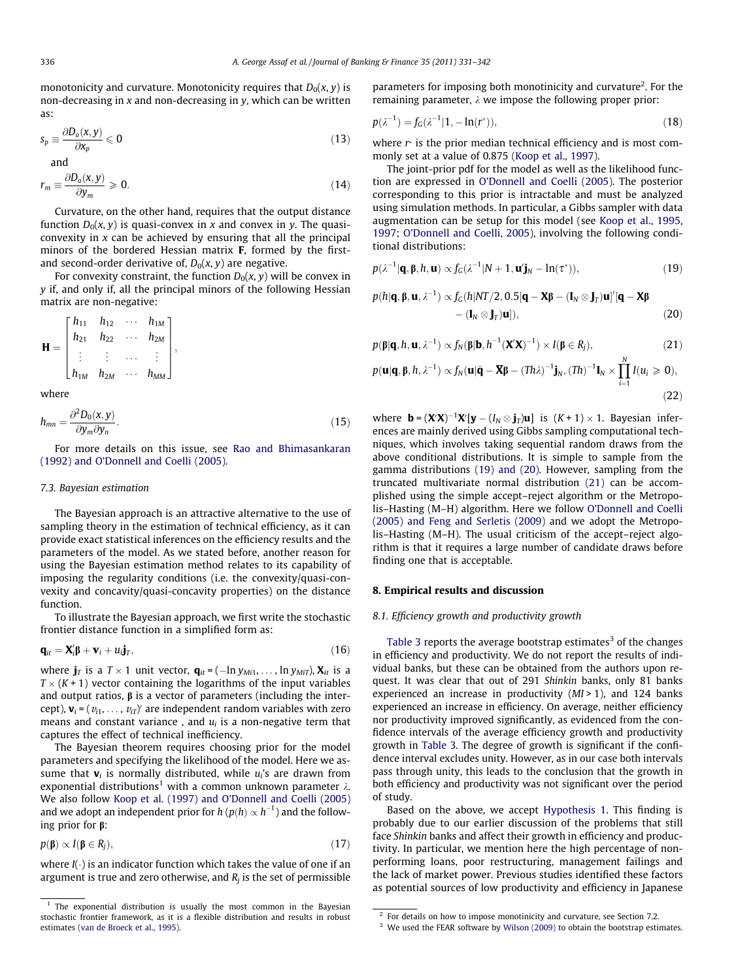<span id="page-5-0"></span>monotonicity and curvature. Monotonicity requires that  $D_0(x, y)$  is non-decreasing in x and non-decreasing in y, which can be written as:

$$
S_p \equiv \frac{\partial D_o(x, y)}{\partial x_p} \leqslant 0 \tag{13}
$$

and

$$
r_m \equiv \frac{\partial D_o(x, y)}{\partial y_m} \geqslant 0. \tag{14}
$$

Curvature, on the other hand, requires that the output distance function  $D_0(x, y)$  is quasi-convex in x and convex in y. The quasiconvexity in x can be achieved by ensuring that all the principal minors of the bordered Hessian matrix F, formed by the firstand second-order derivative of,  $D_0(x, y)$  are negative.

For convexity constraint, the function  $D_0(x, y)$  will be convex in y if, and only if, all the principal minors of the following Hessian matrix are non-negative:

$$
\mathbf{H} = \begin{bmatrix} h_{11} & h_{12} & \cdots & h_{1M} \\ h_{21} & h_{22} & \cdots & h_{2M} \\ \vdots & \vdots & \cdots & \vdots \\ h_{1M} & h_{2M} & \cdots & h_{MM} \end{bmatrix},
$$

where

$$
h_{mn} = \frac{\partial^2 D_0(x, y)}{\partial y_m \partial y_n}.
$$
\n(15)

For more details on this issue, see [Rao and Bhimasankaran](#page-10-0) [\(1992\) and O'Donnell and Coelli \(2005\).](#page-10-0)

#### 7.3. Bayesian estimation

The Bayesian approach is an attractive alternative to the use of sampling theory in the estimation of technical efficiency, as it can provide exact statistical inferences on the efficiency results and the parameters of the model. As we stated before, another reason for using the Bayesian estimation method relates to its capability of imposing the regularity conditions (i.e. the convexity/quasi-convexity and concavity/quasi-concavity properties) on the distance function.

To illustrate the Bayesian approach, we first write the stochastic frontier distance function in a simplified form as:

$$
\mathbf{q}_{it} = \mathbf{X}'_i \mathbf{\beta} + \mathbf{v}_i + u_i \mathbf{j}_T, \tag{16}
$$

where  ${\bf j}_{T}$  is a  $T\times 1$  unit vector,  ${\bf q}_{it}$  = ( $-\ln y_{Mi1},\ldots,$   $\ln y_{MiT}$ ),  ${\bf X}_{it}$  is a  $T\times$  (K + 1) vector containing the logarithms of the input variables and output ratios,  $\beta$  is a vector of parameters (including the intercept),  $\mathbf{v}_i = (v_{i1}, \ldots, v_{iT})$  are independent random variables with zero means and constant variance, and  $u_i$  is a non-negative term that captures the effect of technical inefficiency.

The Bayesian theorem requires choosing prior for the model parameters and specifying the likelihood of the model. Here we assume that  $\mathbf{v}_i$  is normally distributed, while  $u_i$ 's are drawn from exponential distributions<sup>1</sup> with a common unknown parameter  $\lambda$ . We also follow [Koop et al. \(1997\) and O'Donnell and Coelli \(2005\)](#page-10-0) and we adopt an independent prior for  $h\left( p(h)\propto h^{-1}\right)$  and the following prior for  $\beta$ :

$$
p(\beta) \propto I(\beta \in R_j),\tag{17}
$$

where  $I(\cdot)$  is an indicator function which takes the value of one if an argument is true and zero otherwise, and  $R_i$  is the set of permissible parameters for imposing both monotinicity and curvature<sup>2</sup>. For the remaining parameter,  $\lambda$  we impose the following proper prior:

$$
p(\lambda^{-1}) = f_G(\lambda^{-1}|1, -\ln(r^*)),\tag{18}
$$

where  $r^*$  is the prior median technical efficiency and is most commonly set at a value of 0.875 [\(Koop et al., 1997\)](#page-10-0).

The joint-prior pdf for the model as well as the likelihood function are expressed in [O'Donnell and Coelli \(2005\).](#page-10-0) The posterior corresponding to this prior is intractable and must be analyzed using simulation methods. In particular, a Gibbs sampler with data augmentation can be setup for this model (see [Koop et al., 1995,](#page-10-0) [1997; O'Donnell and Coelli, 2005\)](#page-10-0), involving the following conditional distributions:

$$
p(\lambda^{-1}|\mathbf{q}, \beta, h, \mathbf{u}) \propto f_G(\lambda^{-1}|N+1, \mathbf{u}'\mathbf{j}_N - \ln(\tau^*)),
$$
\n(19)

$$
p(h|\mathbf{q}, \mathbf{\beta}, \mathbf{u}, \lambda^{-1}) \propto f_G(h|NT/2, 0.5[\mathbf{q} - \mathbf{X}\mathbf{\beta} - (\mathbf{I}_N \otimes \mathbf{J}_T)\mathbf{u}'] [\mathbf{q} - \mathbf{X}\mathbf{\beta} - (\mathbf{I}_N \otimes \mathbf{J}_T)\mathbf{u}]),
$$
\n(20)

$$
p(\boldsymbol{\beta}|\mathbf{q},h,\mathbf{u},\lambda^{-1}) \propto f_N(\boldsymbol{\beta}|\mathbf{b},h^{-1}(\mathbf{X}'\mathbf{X})^{-1}) \times I(\boldsymbol{\beta} \in R_j),
$$
\n(21)

$$
p(\mathbf{u}|\mathbf{q}, \boldsymbol{\beta}, h, \lambda^{-1}) \propto f_N(\mathbf{u}|\bar{\mathbf{q}} - \overline{\mathbf{X}}\boldsymbol{\beta} - (Th\lambda)^{-1}\mathbf{j}_N, (Th)^{-1}\mathbf{I}_N \times \prod_{i=1}^N I(u_i \geq 0),
$$
\n(22)

where  $\mathbf{b} = (\mathbf{X}'\mathbf{X})^{-1}\mathbf{X}'[\mathbf{y} - (I_N \otimes \mathbf{j}_T)\mathbf{u}]$  is  $(K + 1) \times 1$ . Bayesian inferences are mainly derived using Gibbs sampling computational techniques, which involves taking sequential random draws from the above conditional distributions. It is simple to sample from the gamma distributions (19) and (20). However, sampling from the truncated multivariate normal distribution (21) can be accomplished using the simple accept–reject algorithm or the Metropolis–Hasting (M–H) algorithm. Here we follow [O'Donnell and Coelli](#page-10-0) [\(2005\) and Feng and Serletis \(2009\)](#page-10-0) and we adopt the Metropolis–Hasting (M–H). The usual criticism of the accept–reject algorithm is that it requires a large number of candidate draws before finding one that is acceptable.

#### 8. Empirical results and discussion

#### 8.1. Efficiency growth and productivity growth

[Table 3](#page-6-0) reports the average bootstrap estimates<sup>3</sup> of the changes in efficiency and productivity. We do not report the results of individual banks, but these can be obtained from the authors upon request. It was clear that out of 291 Shinkin banks, only 81 banks experienced an increase in productivity  $(MI > 1)$ , and 124 banks experienced an increase in efficiency. On average, neither efficiency nor productivity improved significantly, as evidenced from the confidence intervals of the average efficiency growth and productivity growth in [Table 3](#page-6-0). The degree of growth is significant if the confidence interval excludes unity. However, as in our case both intervals pass through unity, this leads to the conclusion that the growth in both efficiency and productivity was not significant over the period of study.

Based on the above, we accept [Hypothesis 1.](#page-3-0) This finding is probably due to our earlier discussion of the problems that still face Shinkin banks and affect their growth in efficiency and productivity. In particular, we mention here the high percentage of nonperforming loans, poor restructuring, management failings and the lack of market power. Previous studies identified these factors as potential sources of low productivity and efficiency in Japanese

 $1$  The exponential distribution is usually the most common in the Bayesian stochastic frontier framework, as it is a flexible distribution and results in robust estimates ([van de Broeck et al., 1995\)](#page-11-0).

<sup>&</sup>lt;sup>2</sup> For details on how to impose monotinicity and curvature, see Section 7.2.

<sup>&</sup>lt;sup>3</sup> We used the FEAR software by [Wilson \(2009\)](#page-11-0) to obtain the bootstrap estimates.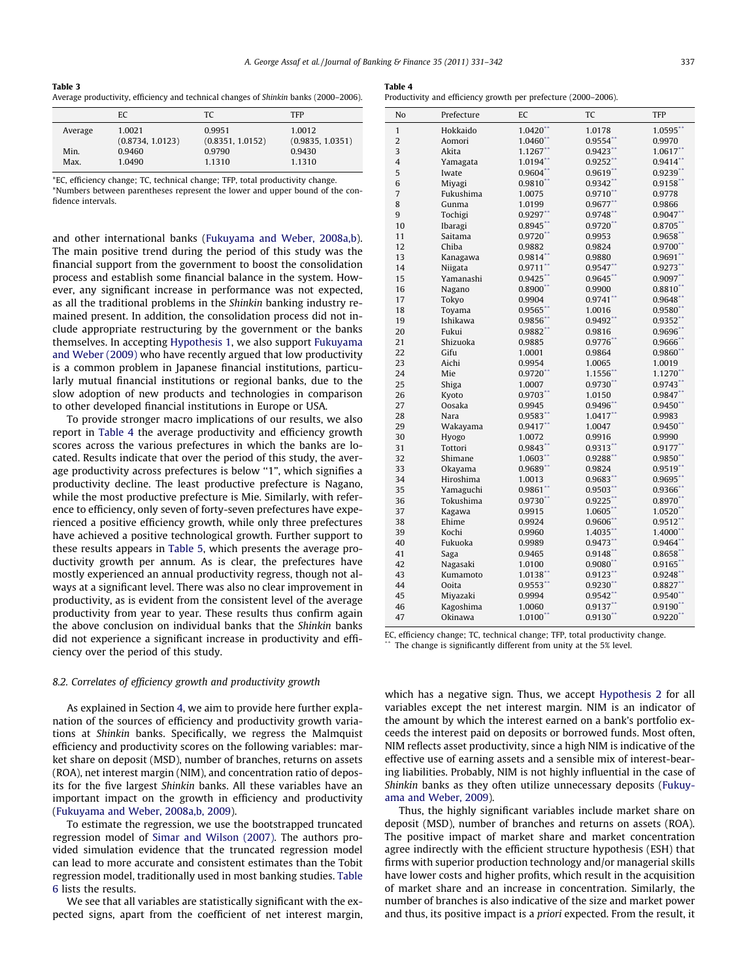<span id="page-6-0"></span>Table 3 Average productivity, efficiency and technical changes of Shinkin banks (2000–2006).

|         | EC                         | TC.                        | <b>TFP</b>                 |
|---------|----------------------------|----------------------------|----------------------------|
| Average | 1.0021<br>(0.8734, 1.0123) | 0.9951<br>(0.8351, 1.0152) | 1.0012<br>(0.9835, 1.0351) |
| Min.    | 0.9460                     | 0.9790                     | 0.9430                     |
| Max.    | 1.0490                     | 1.1310                     | 1.1310                     |

\*EC, efficiency change; TC, technical change; TFP, total productivity change. \*Numbers between parentheses represent the lower and upper bound of the confidence intervals.

and other international banks ([Fukuyama and Weber, 2008a,b\)](#page-10-0). The main positive trend during the period of this study was the financial support from the government to boost the consolidation process and establish some financial balance in the system. However, any significant increase in performance was not expected, as all the traditional problems in the Shinkin banking industry remained present. In addition, the consolidation process did not include appropriate restructuring by the government or the banks themselves. In accepting [Hypothesis 1](#page-3-0), we also support [Fukuyama](#page-10-0) [and Weber \(2009\)](#page-10-0) who have recently argued that low productivity is a common problem in Japanese financial institutions, particularly mutual financial institutions or regional banks, due to the slow adoption of new products and technologies in comparison to other developed financial institutions in Europe or USA.

To provide stronger macro implications of our results, we also report in Table 4 the average productivity and efficiency growth scores across the various prefectures in which the banks are located. Results indicate that over the period of this study, the average productivity across prefectures is below "1", which signifies a productivity decline. The least productive prefecture is Nagano, while the most productive prefecture is Mie. Similarly, with reference to efficiency, only seven of forty-seven prefectures have experienced a positive efficiency growth, while only three prefectures have achieved a positive technological growth. Further support to these results appears in [Table 5](#page-7-0), which presents the average productivity growth per annum. As is clear, the prefectures have mostly experienced an annual productivity regress, though not always at a significant level. There was also no clear improvement in productivity, as is evident from the consistent level of the average productivity from year to year. These results thus confirm again the above conclusion on individual banks that the Shinkin banks did not experience a significant increase in productivity and efficiency over the period of this study.

#### 8.2. Correlates of efficiency growth and productivity growth

As explained in Section [4](#page-2-0), we aim to provide here further explanation of the sources of efficiency and productivity growth variations at Shinkin banks. Specifically, we regress the Malmquist efficiency and productivity scores on the following variables: market share on deposit (MSD), number of branches, returns on assets (ROA), net interest margin (NIM), and concentration ratio of deposits for the five largest Shinkin banks. All these variables have an important impact on the growth in efficiency and productivity ([Fukuyama and Weber, 2008a,b, 2009\)](#page-10-0).

To estimate the regression, we use the bootstrapped truncated regression model of [Simar and Wilson \(2007\).](#page-11-0) The authors provided simulation evidence that the truncated regression model can lead to more accurate and consistent estimates than the Tobit regression model, traditionally used in most banking studies. [Table](#page-7-0) [6](#page-7-0) lists the results.

We see that all variables are statistically significant with the expected signs, apart from the coefficient of net interest margin,

#### Table 4

Productivity and efficiency growth per prefecture (2000–2006).

| No             | Prefecture | EC                            | TC                    | <b>TFP</b>                 |
|----------------|------------|-------------------------------|-----------------------|----------------------------|
| $\mathbf{1}$   | Hokkaido   | $1.0420$ **                   | 1.0178                | 1.0595                     |
| 2              | Aomori     | 1.0460*                       | $0.9554*$             | 0.9970                     |
| 3              | Akita      | $1.1267$ <sup>*</sup>         | 0.9423                | 1.0617                     |
| 4              | Yamagata   | 1.0194                        | 0.9252                | 0.9414                     |
| 5              | Iwate      | $0.9604^*$                    | 0.9619                | $0.9239$ <sup>*</sup>      |
| 6              | Miyagi     | 0.9810                        | 0.9342                | 0.9158                     |
| $\overline{7}$ | Fukushima  | 1.0075                        | 0.9710"               | 0.9778                     |
| 8              | Gunma      | 1.0199                        | $0.9677$ **           | 0.9866                     |
| 9              | Tochigi    | $0.9297**$                    | $0.9748$ **           | 0.9047                     |
| 10             | Ibaragi    | 0.8945                        | $0.9720$ **           | 0.8705                     |
| 11             | Saitama    | $0.9720$ $\ddot{\phantom{1}}$ | 0.9953                | $0.9658^*$                 |
| 12             | Chiba      | 0.9882                        | 0.9824                | $0.9700^*$                 |
| 13             | Kanagawa   | 0.9814                        | 0.9880                | 0.9691                     |
| 14             | Niigata    | 0.9711                        | 0.9547                | 0.9273                     |
| 15             | Yamanashi  | 0.9425                        | 0.9645                | $0.9097^{*}$               |
| 16             | Nagano     | $0.8900*$                     | 0.9900                | $0.8810*$                  |
| 17             | Tokyo      | 0.9904                        | $0.9741$ **           | 0.9648"                    |
| 18             | Toyama     | 0.9565                        | 1.0016                | $0.9580^{*}$               |
| 19             | Ishikawa   | 0.9856                        | $0.9492$ <sup>*</sup> | 0.9352                     |
| 20             | Fukui      | $0.9882$ $^{\circ}$           | 0.9816                | 0.9696                     |
| 21             | Shizuoka   | 0.9885                        | $0.9776$ <sup>*</sup> | 0.9666                     |
| 22             | Gifu       | 1.0001                        | 0.9864                | 0.9860"                    |
| 23             | Aichi      | 0.9954                        | 1.0065                | 1.0019                     |
| 24             | Mie        | $0.9720$ **                   | 1.1556                | 1.1270*                    |
| 25             | Shiga      | 1.0007                        | 0.9730                | 0.9743                     |
| 26             | Kyoto      | 0.9703                        | 1.0150                | 0.9847                     |
| 27             | Oosaka     | 0.9945                        | 0.9496                | $0.9450*$                  |
| 28             | Nara       | 0.9583                        | 1.0417                | 0.9983                     |
| 29             | Wakayama   | $0.9417$ <sup>*</sup>         | 1.0047                | 0.9450"                    |
| 30             | Hyogo      | 1.0072                        | 0.9916                | 0.9990                     |
| 31             | Tottori    | 0.9843                        | 0.9313"               | 0.9177                     |
| 32             | Shimane    | 1.0603                        | 0.9288                | $0.9850*$                  |
| 33             | Okayama    | $0.9689^{*}$                  | 0.9824                | 0.9519                     |
| 34             | Hiroshima  | 1.0013                        | 0.9683                | 0.9695                     |
| 35             | Yamaguchi  | $0.9861**$                    | $0.9503*$             | 0.9366                     |
| 36             | Tokushima  | $0.9730***$                   | 0.9225                | $0.8970$ *                 |
| 37             | Kagawa     | 0.9915                        | 1.0605                | 1.0520*                    |
| 38             | Ehime      | 0.9924                        | 0.9606                | 0.9512                     |
| 39             | Kochi      | 0.9960                        | 1.4035                | 1.4000                     |
| 40             | Fukuoka    | 0.9989                        | $0.9473$ <sup>*</sup> | $0.9464$ <sup>*</sup>      |
| 41             | Saga       | 0.9465                        | 0.9148                | 0.8658                     |
| 42             | Nagasaki   | 1.0100                        | $0.9080**$            | $0.9165^*$                 |
| 43             | Kumamoto   | $1.0138**$                    | 0.9123                | 0.9248                     |
| 44             | Ooita      | $0.9553$ **                   | $0.9230$ **           | 0.8827                     |
| 45             | Miyazaki   | 0.9994                        | 0.9542                | $0.9540*$                  |
| 46             | Kagoshima  | 1.0060                        | $0.9137$ **           | $0.9190**$                 |
| 47             | Okinawa    | $1.0100$ **                   | $0.9130$ **           | $0.9220$ $\hspace{-0.5mm}$ |

EC, efficiency change; TC, technical change; TFP, total productivity change. The change is significantly different from unity at the 5% level.

which has a negative sign. Thus, we accept [Hypothesis 2](#page-3-0) for all variables except the net interest margin. NIM is an indicator of the amount by which the interest earned on a bank's portfolio exceeds the interest paid on deposits or borrowed funds. Most often, NIM reflects asset productivity, since a high NIM is indicative of the effective use of earning assets and a sensible mix of interest-bearing liabilities. Probably, NIM is not highly influential in the case of Shinkin banks as they often utilize unnecessary deposits [\(Fukuy](#page-10-0)[ama and Weber, 2009](#page-10-0)).

Thus, the highly significant variables include market share on deposit (MSD), number of branches and returns on assets (ROA). The positive impact of market share and market concentration agree indirectly with the efficient structure hypothesis (ESH) that firms with superior production technology and/or managerial skills have lower costs and higher profits, which result in the acquisition of market share and an increase in concentration. Similarly, the number of branches is also indicative of the size and market power and thus, its positive impact is a priori expected. From the result, it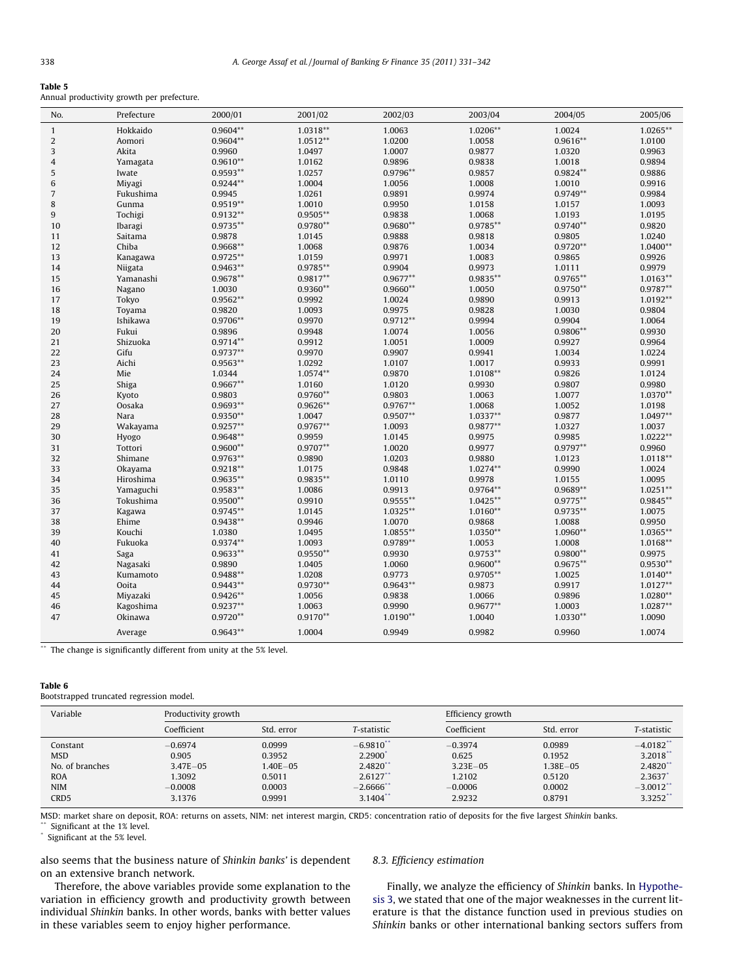#### <span id="page-7-0"></span>Table 5

Annual productivity growth per prefecture.

| No.            | Prefecture | 2000/01    | 2001/02    | 2002/03    | 2003/04    | 2004/05    | 2005/06    |
|----------------|------------|------------|------------|------------|------------|------------|------------|
| $\mathbf{1}$   | Hokkaido   | $0.9604**$ | $1.0318**$ | 1.0063     | 1.0206**   | 1.0024     | $1.0265**$ |
| 2              | Aomori     | $0.9604**$ | $1.0512**$ | 1.0200     | 1.0058     | $0.9616**$ | 1.0100     |
| 3              | Akita      | 0.9960     | 1.0497     | 1.0007     | 0.9877     | 1.0320     | 0.9963     |
| 4              | Yamagata   | $0.9610**$ | 1.0162     | 0.9896     | 0.9838     | 1.0018     | 0.9894     |
| 5              | Iwate      | $0.9593**$ | 1.0257     | 0.9796**   | 0.9857     | $0.9824**$ | 0.9886     |
| 6              | Miyagi     | $0.9244**$ | 1.0004     | 1.0056     | 1.0008     | 1.0010     | 0.9916     |
| $\overline{7}$ | Fukushima  | 0.9945     | 1.0261     | 0.9891     | 0.9974     | $0.9749**$ | 0.9984     |
| 8              | Gunma      | $0.9519**$ | 1.0010     | 0.9950     | 1.0158     | 1.0157     | 1.0093     |
| 9              | Tochigi    | $0.9132**$ | $0.9505**$ | 0.9838     | 1.0068     | 1.0193     | 1.0195     |
| 10             | Ibaragi    | $0.9735**$ | $0.9780**$ | $0.9680**$ | 0.9785**   | $0.9740**$ | 0.9820     |
| 11             | Saitama    | 0.9878     | 1.0145     | 0.9888     | 0.9818     | 0.9805     | 1.0240     |
| 12             | Chiba      | 0.9668**   | 1.0068     | 0.9876     | 1.0034     | $0.9720**$ | 1.0400**   |
| 13             | Kanagawa   | $0.9725**$ | 1.0159     | 0.9971     | 1.0083     | 0.9865     | 0.9926     |
| 14             | Niigata    | $0.9463**$ | $0.9785**$ | 0.9904     | 0.9973     | 1.0111     | 0.9979     |
| 15             | Yamanashi  | $0.9678**$ | $0.9817**$ | $0.9677**$ | $0.9835**$ | $0.9765**$ | 1.0163**   |
| 16             | Nagano     | 1.0030     | $0.9360**$ | 0.9660**   | 1.0050     | $0.9750**$ | 0.9787**   |
| 17             | Tokyo      | $0.9562**$ | 0.9992     | 1.0024     | 0.9890     | 0.9913     | 1.0192**   |
| 18             | Toyama     | 0.9820     | 1.0093     | 0.9975     | 0.9828     | 1.0030     | 0.9804     |
| 19             | Ishikawa   | 0.9706**   | 0.9970     | $0.9712**$ | 0.9994     | 0.9904     | 1.0064     |
| 20             | Fukui      | 0.9896     | 0.9948     | 1.0074     | 1.0056     | $0.9806**$ | 0.9930     |
| 21             | Shizuoka   | $0.9714**$ | 0.9912     | 1.0051     | 1.0009     | 0.9927     | 0.9964     |
| 22             | Gifu       | $0.9737**$ | 0.9970     | 0.9907     | 0.9941     | 1.0034     | 1.0224     |
| 23             | Aichi      | $0.9563**$ | 1.0292     | 1.0107     | 1.0017     | 0.9933     | 0.9991     |
| 24             | Mie        | 1.0344     | 1.0574**   | 0.9870     | 1.0108**   | 0.9826     | 1.0124     |
| 25             | Shiga      | $0.9667**$ | 1.0160     | 1.0120     | 0.9930     | 0.9807     | 0.9980     |
| 26             | Kyoto      | 0.9803     | $0.9760**$ | 0.9803     | 1.0063     | 1.0077     | $1.0370**$ |
| 27             | Oosaka     | $0.9693**$ | $0.9626**$ | $0.9767**$ | 1.0068     | 1.0052     | 1.0198     |
| 28             | Nara       | $0.9350**$ | 1.0047     | $0.9507**$ | 1.0337**   | 0.9877     | 1.0497**   |
| 29             | Wakayama   | $0.9257**$ | $0.9767**$ | 1.0093     | $0.9877**$ | 1.0327     | 1.0037     |
| 30             | Hyogo      | $0.9648**$ | 0.9959     | 1.0145     | 0.9975     | 0.9985     | $1.0222**$ |
| 31             | Tottori    | $0.9600**$ | $0.9707**$ | 1.0020     | 0.9977     | $0.9797**$ | 0.9960     |
| 32             | Shimane    | $0.9763**$ | 0.9890     | 1.0203     | 0.9880     | 1.0123     | $1.0118**$ |
| 33             | Okayama    | $0.9218**$ | 1.0175     | 0.9848     | $1.0274**$ | 0.9990     | 1.0024     |
| 34             | Hiroshima  | $0.9635**$ | $0.9835**$ | 1.0110     | 0.9978     | 1.0155     | 1.0095     |
| 35             | Yamaguchi  | $0.9583**$ | 1.0086     | 0.9913     | $0.9764**$ | 0.9689**   | $1.0251**$ |
| 36             | Tokushima  | $0.9500**$ | 0.9910     | $0.9555**$ | $1.0425**$ | $0.9775**$ | $0.9845**$ |
| 37             | Kagawa     | $0.9745**$ | 1.0145     | 1.0325**   | $1.0160**$ | 0.9735**   | 1.0075     |
| 38             | Ehime      | $0.9438**$ | 0.9946     | 1.0070     | 0.9868     | 1.0088     | 0.9950     |
| 39             | Kouchi     | 1.0380     | 1.0495     | 1.0855**   | $1.0350**$ | 1.0960**   | $1.0365**$ |
| 40             | Fukuoka    | $0.9374**$ | 1.0093     | $0.9789**$ | 1.0053     | 1.0008     | 1.0168**   |
| 41             | Saga       | $0.9633**$ | $0.9550**$ | 0.9930     | $0.9753**$ | $0.9800**$ | 0.9975     |
| 42             | Nagasaki   | 0.9890     | 1.0405     | 1.0060     | $0.9600**$ | $0.9675**$ | $0.9530**$ |
| 43             | Kumamoto   | $0.9488**$ | 1.0208     | 0.9773     | $0.9705**$ | 1.0025     | $1.0140**$ |
| 44             | Ooita      | $0.9443**$ | $0.9730**$ | $0.9643**$ | 0.9873     | 0.9917     | $1.0127**$ |
| 45             | Miyazaki   | $0.9426**$ | 1.0056     | 0.9838     | 1.0066     | 0.9896     | 1.0280**   |
| 46             | Kagoshima  | $0.9237**$ | 1.0063     | 0.9990     | $0.9677**$ | 1.0003     | $1.0287**$ |
| 47             | Okinawa    | $0.9720**$ | $0.9170**$ | $1.0190**$ | 1.0040     | $1.0330**$ | 1.0090     |
|                | Average    | $0.9643**$ | 1.0004     | 0.9949     | 0.9982     | 0.9960     | 1.0074     |

\*\* The change is significantly different from unity at the 5% level.

#### Table 6

Bootstrapped truncated regression model.

| Variable                                                                                  | Productivity growth                                                 |                                                                 |                                                                           | Efficiency growth                                                    |                                                                 |                                                                             |
|-------------------------------------------------------------------------------------------|---------------------------------------------------------------------|-----------------------------------------------------------------|---------------------------------------------------------------------------|----------------------------------------------------------------------|-----------------------------------------------------------------|-----------------------------------------------------------------------------|
|                                                                                           | Coefficient                                                         | Std. error                                                      | T-statistic                                                               | Coefficient                                                          | Std. error                                                      | T-statistic                                                                 |
| Constant<br><b>MSD</b><br>No. of branches<br><b>ROA</b><br><b>NIM</b><br>CRD <sub>5</sub> | $-0.6974$<br>0.905<br>$3.47E - 0.5$<br>.3092<br>$-0.0008$<br>3.1376 | 0.0999<br>0.3952<br>$1.40E - 0.5$<br>0.5011<br>0.0003<br>0.9991 | $-6.9810$ **<br>2.2900<br>2.4820<br>2.6127<br>$-2.6666$ **<br>$3.1404$ ** | $-0.3974$<br>0.625<br>$3.23E - 0.5$<br>1.2102<br>$-0.0006$<br>2.9232 | 0.0989<br>0.1952<br>$1.38E - 0.5$<br>0.5120<br>0.0002<br>0.8791 | $-4.0182$ **<br>$3.2018$ **<br>2.4820<br>2.3637<br>$-3.0012$ **<br>3.3252** |

MSD: market share on deposit, ROA: returns on assets, NIM: net interest margin, CRD5: concentration ratio of deposits for the five largest Shinkin banks.

\*\* Significant at the  $1\%$  level. Significant at the 5% level.

also seems that the business nature of Shinkin banks' is dependent on an extensive branch network.

Therefore, the above variables provide some explanation to the variation in efficiency growth and productivity growth between individual Shinkin banks. In other words, banks with better values in these variables seem to enjoy higher performance.

# 8.3. Efficiency estimation

Finally, we analyze the efficiency of Shinkin banks. In [Hypothe](#page-3-0)[sis 3](#page-3-0), we stated that one of the major weaknesses in the current literature is that the distance function used in previous studies on Shinkin banks or other international banking sectors suffers from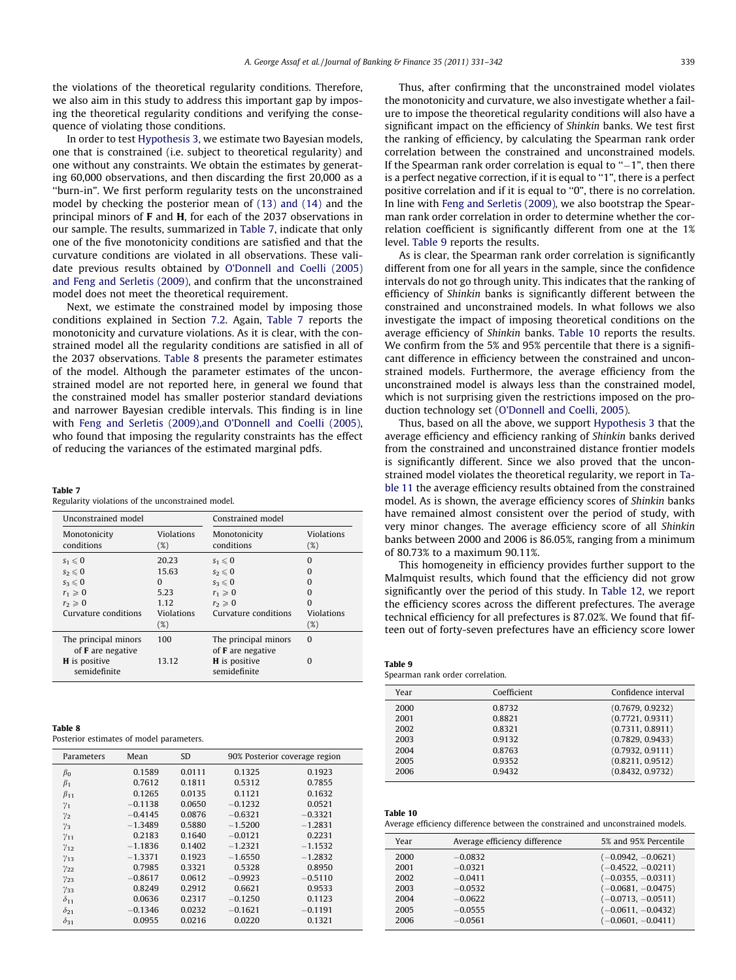the violations of the theoretical regularity conditions. Therefore, we also aim in this study to address this important gap by imposing the theoretical regularity conditions and verifying the consequence of violating those conditions.

In order to test [Hypothesis 3,](#page-3-0) we estimate two Bayesian models, one that is constrained (i.e. subject to theoretical regularity) and one without any constraints. We obtain the estimates by generating 60,000 observations, and then discarding the first 20,000 as a ''burn-in". We first perform regularity tests on the unconstrained model by checking the posterior mean of [\(13\) and \(14\)](#page-5-0) and the principal minors of F and H, for each of the 2037 observations in our sample. The results, summarized in Table 7, indicate that only one of the five monotonicity conditions are satisfied and that the curvature conditions are violated in all observations. These validate previous results obtained by [O'Donnell and Coelli \(2005\)](#page-10-0) [and Feng and Serletis \(2009\)](#page-10-0), and confirm that the unconstrained model does not meet the theoretical requirement.

Next, we estimate the constrained model by imposing those conditions explained in Section [7.2](#page-4-0). Again, Table 7 reports the monotonicity and curvature violations. As it is clear, with the constrained model all the regularity conditions are satisfied in all of the 2037 observations. Table 8 presents the parameter estimates of the model. Although the parameter estimates of the unconstrained model are not reported here, in general we found that the constrained model has smaller posterior standard deviations and narrower Bayesian credible intervals. This finding is in line with [Feng and Serletis \(2009\),and O'Donnell and Coelli \(2005\),](#page-10-0) who found that imposing the regularity constraints has the effect of reducing the variances of the estimated marginal pdfs.

#### Table 7

Regularity violations of the unconstrained model.

| Unconstrained model                                                                                            |                                                                    | Constrained model                                                                                              |                                                          |
|----------------------------------------------------------------------------------------------------------------|--------------------------------------------------------------------|----------------------------------------------------------------------------------------------------------------|----------------------------------------------------------|
| Monotonicity<br>conditions                                                                                     | <b>Violations</b><br>(%)                                           | Monotonicity<br>conditions                                                                                     | <b>Violations</b><br>(%)                                 |
| $s_1 \leq 0$<br>$s_2 \leq 0$<br>$s_3 \leq 0$<br>$r_1 \geqslant 0$<br>$r_2 \geqslant 0$<br>Curvature conditions | 20.23<br>15.63<br>0<br>5.23<br>1.12<br><b>Violations</b><br>$(\%)$ | $s_1 \leq 0$<br>$s_2 \leq 0$<br>$s_3 \leq 0$<br>$r_1 \geqslant 0$<br>$r_2 \geqslant 0$<br>Curvature conditions | 0<br>0<br>O<br>0<br>$\Omega$<br><b>Violations</b><br>(%) |
| The principal minors<br>of <b>F</b> are negative<br><b>H</b> is positive<br>semidefinite                       | 100<br>13.12                                                       | The principal minors<br>of <b>F</b> are negative<br><b>H</b> is positive<br>semidefinite                       | $\Omega$<br>0                                            |

| $\sim$<br>. .<br>$\sim$<br>. . |  |
|--------------------------------|--|
|--------------------------------|--|

| Posterior estimates of model parameters. |  |  |  |  |  |
|------------------------------------------|--|--|--|--|--|
|------------------------------------------|--|--|--|--|--|

| Parameters    | Mean      | <b>SD</b> |           | 90% Posterior coverage region |
|---------------|-----------|-----------|-----------|-------------------------------|
| $\beta_0$     | 0.1589    | 0.0111    | 0.1325    | 0.1923                        |
| $\beta_1$     | 0.7612    | 0.1811    | 0.5312    | 0.7855                        |
| $\beta_{11}$  | 0.1265    | 0.0135    | 0.1121    | 0.1632                        |
| $\gamma_1$    | $-0.1138$ | 0.0650    | $-0.1232$ | 0.0521                        |
| $\gamma_2$    | $-0.4145$ | 0.0876    | $-0.6321$ | $-0.3321$                     |
| $\gamma_3$    | $-1.3489$ | 0.5880    | $-1.5200$ | $-1.2831$                     |
| $\gamma_{11}$ | 0.2183    | 0.1640    | $-0.0121$ | 0.2231                        |
| $\gamma_{12}$ | $-1.1836$ | 0.1402    | $-1.2321$ | $-1.1532$                     |
| $\gamma_{13}$ | $-1.3371$ | 0.1923    | $-1.6550$ | $-1.2832$                     |
| $\gamma_{22}$ | 0.7985    | 0.3321    | 0.5328    | 0.8950                        |
| $\gamma_{23}$ | $-0.8617$ | 0.0612    | $-0.9923$ | $-0.5110$                     |
| $\gamma_{33}$ | 0.8249    | 0.2912    | 0.6621    | 0.9533                        |
| $\delta_{11}$ | 0.0636    | 0.2317    | $-0.1250$ | 0.1123                        |
| $\delta_{21}$ | $-0.1346$ | 0.0232    | $-0.1621$ | $-0.1191$                     |
| $\delta_{31}$ | 0.0955    | 0.0216    | 0.0220    | 0.1321                        |
|               |           |           |           |                               |

Thus, after confirming that the unconstrained model violates the monotonicity and curvature, we also investigate whether a failure to impose the theoretical regularity conditions will also have a significant impact on the efficiency of Shinkin banks. We test first the ranking of efficiency, by calculating the Spearman rank order correlation between the constrained and unconstrained models. If the Spearman rank order correlation is equal to " $-1$ ", then there is a perfect negative correction, if it is equal to "1", there is a perfect positive correlation and if it is equal to "0", there is no correlation. In line with [Feng and Serletis \(2009\),](#page-10-0) we also bootstrap the Spearman rank order correlation in order to determine whether the correlation coefficient is significantly different from one at the 1% level. Table 9 reports the results.

As is clear, the Spearman rank order correlation is significantly different from one for all years in the sample, since the confidence intervals do not go through unity. This indicates that the ranking of efficiency of Shinkin banks is significantly different between the constrained and unconstrained models. In what follows we also investigate the impact of imposing theoretical conditions on the average efficiency of Shinkin banks. Table 10 reports the results. We confirm from the 5% and 95% percentile that there is a significant difference in efficiency between the constrained and unconstrained models. Furthermore, the average efficiency from the unconstrained model is always less than the constrained model, which is not surprising given the restrictions imposed on the production technology set ([O'Donnell and Coelli, 2005](#page-10-0)).

Thus, based on all the above, we support [Hypothesis 3](#page-3-0) that the average efficiency and efficiency ranking of Shinkin banks derived from the constrained and unconstrained distance frontier models is significantly different. Since we also proved that the unconstrained model violates the theoretical regularity, we report in [Ta](#page-9-0)[ble 11](#page-9-0) the average efficiency results obtained from the constrained model. As is shown, the average efficiency scores of Shinkin banks have remained almost consistent over the period of study, with very minor changes. The average efficiency score of all Shinkin banks between 2000 and 2006 is 86.05%, ranging from a minimum of 80.73% to a maximum 90.11%.

This homogeneity in efficiency provides further support to the Malmquist results, which found that the efficiency did not grow significantly over the period of this study. In [Table 12,](#page-9-0) we report the efficiency scores across the different prefectures. The average technical efficiency for all prefectures is 87.02%. We found that fifteen out of forty-seven prefectures have an efficiency score lower

| Table 9                          |  |
|----------------------------------|--|
| Spearman rank order correlation. |  |

| Year | Coefficient | Confidence interval |
|------|-------------|---------------------|
| 2000 | 0.8732      | (0.7679, 0.9232)    |
| 2001 | 0.8821      | (0.7721, 0.9311)    |
| 2002 | 0.8321      | (0.7311, 0.8911)    |
| 2003 | 0.9132      | (0.7829, 0.9433)    |
| 2004 | 0.8763      | (0.7932, 0.9111)    |
| 2005 | 0.9352      | (0.8211, 0.9512)    |
| 2006 | 0.9432      | (0.8432, 0.9732)    |

#### Table 10

Average efficiency difference between the constrained and unconstrained models.

| Year | Average efficiency difference | 5% and 95% Percentile |
|------|-------------------------------|-----------------------|
| 2000 | $-0.0832$                     | $(-0.0942, -0.0621)$  |
| 2001 | $-0.0321$                     | $(-0.4522, -0.0211)$  |
| 2002 | $-0.0411$                     | $(-0.0355, -0.0311)$  |
| 2003 | $-0.0532$                     | $(-0.0681, -0.0475)$  |
| 2004 | $-0.0622$                     | $(-0.0713, -0.0511)$  |
| 2005 | $-0.0555$                     | $(-0.0611, -0.0432)$  |
| 2006 | $-0.0561$                     | $(-0.0601, -0.0411)$  |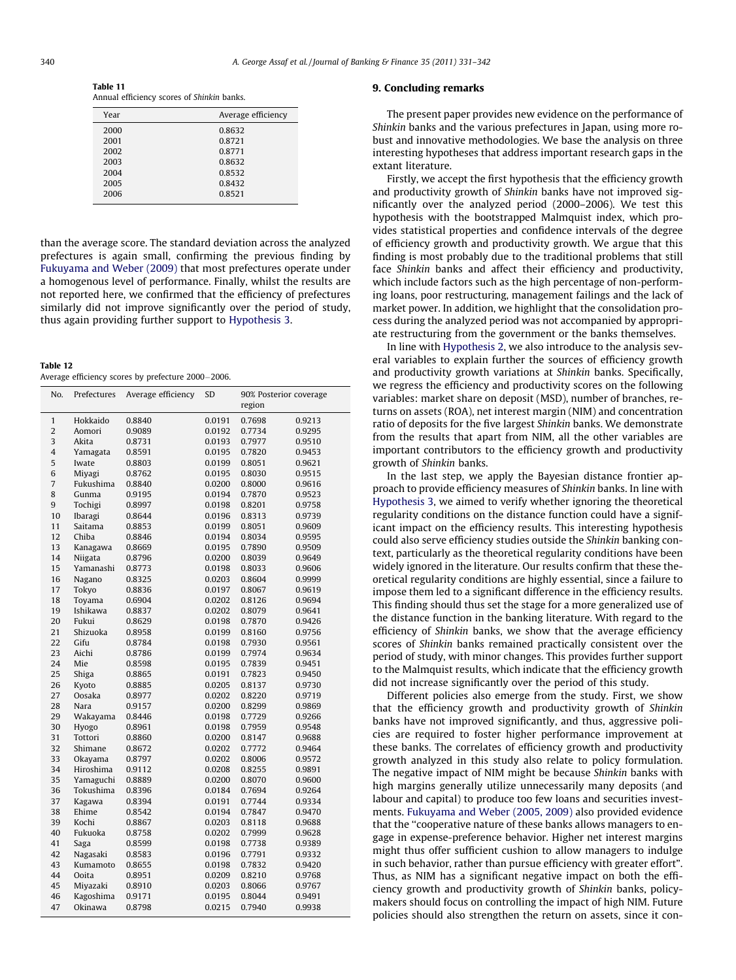<span id="page-9-0"></span>Table 11 Annual efficiency scores of Shinkin banks.

| Year | Average efficiency |
|------|--------------------|
| 2000 | 0.8632             |
| 2001 | 0.8721             |
| 2002 | 0.8771             |
| 2003 | 0.8632             |
| 2004 | 0.8532             |
| 2005 | 0.8432             |
| 2006 | 0.8521             |
|      |                    |

than the average score. The standard deviation across the analyzed prefectures is again small, confirming the previous finding by [Fukuyama and Weber \(2009\)](#page-10-0) that most prefectures operate under a homogenous level of performance. Finally, whilst the results are not reported here, we confirmed that the efficiency of prefectures similarly did not improve significantly over the period of study, thus again providing further support to [Hypothesis 3.](#page-3-0)

| Table 12                                           |  |
|----------------------------------------------------|--|
| Average efficiency scores by prefecture 2000–2006. |  |

| No.            | Prefectures | Average efficiency | <b>SD</b> | 90% Posterior coverage<br>region |        |
|----------------|-------------|--------------------|-----------|----------------------------------|--------|
| $\mathbf{1}$   | Hokkaido    | 0.8840             | 0.0191    | 0.7698                           | 0.9213 |
| $\overline{2}$ | Aomori      | 0.9089             | 0.0192    | 0.7734                           | 0.9295 |
| 3              | Akita       | 0.8731             | 0.0193    | 0.7977                           | 0.9510 |
| $\overline{4}$ | Yamagata    | 0.8591             | 0.0195    | 0.7820                           | 0.9453 |
| 5              | Iwate       | 0.8803             | 0.0199    | 0.8051                           | 0.9621 |
| 6              | Miyagi      | 0.8762             | 0.0195    | 0.8030                           | 0.9515 |
| $\overline{7}$ | Fukushima   | 0.8840             | 0.0200    | 0.8000                           | 0.9616 |
| 8              | Gunma       | 0.9195             | 0.0194    | 0.7870                           | 0.9523 |
| 9              | Tochigi     | 0.8997             | 0.0198    | 0.8201                           | 0.9758 |
| 10             | Ibaragi     | 0.8644             | 0.0196    | 0.8313                           | 0.9739 |
| 11             | Saitama     | 0.8853             | 0.0199    | 0.8051                           | 0.9609 |
| 12             | Chiba       | 0.8846             | 0.0194    | 0.8034                           | 0.9595 |
| 13             | Kanagawa    | 0.8669             | 0.0195    | 0.7890                           | 0.9509 |
| 14             | Niigata     | 0.8796             | 0.0200    | 0.8039                           | 0.9649 |
| 15             | Yamanashi   | 0.8773             | 0.0198    | 0.8033                           | 0.9606 |
| 16             | Nagano      | 0.8325             | 0.0203    | 0.8604                           | 0.9999 |
| 17             | Tokyo       | 0.8836             | 0.0197    | 0.8067                           | 0.9619 |
| 18             | Toyama      | 0.6904             | 0.0202    | 0.8126                           | 0.9694 |
| 19             | Ishikawa    | 0.8837             | 0.0202    | 0.8079                           | 0.9641 |
| 20             | Fukui       | 0.8629             | 0.0198    | 0.7870                           | 0.9426 |
| 21             | Shizuoka    | 0.8958             | 0.0199    | 0.8160                           | 0.9756 |
| 22             | Gifu        | 0.8784             | 0.0198    | 0.7930                           | 0.9561 |
| 23             | Aichi       | 0.8786             | 0.0199    | 0.7974                           | 0.9634 |
| 24             | Mie         | 0.8598             | 0.0195    | 0.7839                           | 0.9451 |
| 25             | Shiga       | 0.8865             | 0.0191    | 0.7823                           | 0.9450 |
| 26             | Kyoto       | 0.8885             | 0.0205    | 0.8137                           | 0.9730 |
| 27             | Oosaka      | 0.8977             | 0.0202    | 0.8220                           | 0.9719 |
| 28             | Nara        | 0.9157             | 0.0200    | 0.8299                           | 0.9869 |
| 29             | Wakayama    | 0.8446             | 0.0198    | 0.7729                           | 0.9266 |
| 30             | Hyogo       | 0.8961             | 0.0198    | 0.7959                           | 0.9548 |
| 31             | Tottori     | 0.8860             | 0.0200    | 0.8147                           | 0.9688 |
| 32             | Shimane     | 0.8672             | 0.0202    | 0.7772                           | 0.9464 |
| 33             | Okayama     | 0.8797             | 0.0202    | 0.8006                           | 0.9572 |
| 34             | Hiroshima   | 0.9112             | 0.0208    | 0.8255                           | 0.9891 |
| 35             | Yamaguchi   | 0.8889             | 0.0200    | 0.8070                           | 0.9600 |
| 36             | Tokushima   | 0.8396             | 0.0184    | 0.7694                           | 0.9264 |
| 37             | Kagawa      | 0.8394             | 0.0191    | 0.7744                           | 0.9334 |
| 38             | Ehime       | 0.8542             | 0.0194    | 0.7847                           | 0.9470 |
| 39             | Kochi       | 0.8867             | 0.0203    | 0.8118                           | 0.9688 |
| 40             | Fukuoka     | 0.8758             | 0.0202    | 0.7999                           | 0.9628 |
| 41             | Saga        | 0.8599             | 0.0198    | 0.7738                           | 0.9389 |
| 42             | Nagasaki    | 0.8583             | 0.0196    | 0.7791                           | 0.9332 |
| 43             | Kumamoto    | 0.8655             | 0.0198    | 0.7832                           | 0.9420 |
| 44             | Ooita       | 0.8951             | 0.0209    | 0.8210                           | 0.9768 |
| 45             | Miyazaki    | 0.8910             | 0.0203    | 0.8066                           | 0.9767 |
| 46             | Kagoshima   | 0.9171             | 0.0195    | 0.8044                           | 0.9491 |
| 47             | Okinawa     | 0.8798             | 0.0215    | 0.7940                           | 0.9938 |
|                |             |                    |           |                                  |        |

## 9. Concluding remarks

The present paper provides new evidence on the performance of Shinkin banks and the various prefectures in Japan, using more robust and innovative methodologies. We base the analysis on three interesting hypotheses that address important research gaps in the extant literature.

Firstly, we accept the first hypothesis that the efficiency growth and productivity growth of Shinkin banks have not improved significantly over the analyzed period (2000–2006). We test this hypothesis with the bootstrapped Malmquist index, which provides statistical properties and confidence intervals of the degree of efficiency growth and productivity growth. We argue that this finding is most probably due to the traditional problems that still face Shinkin banks and affect their efficiency and productivity, which include factors such as the high percentage of non-performing loans, poor restructuring, management failings and the lack of market power. In addition, we highlight that the consolidation process during the analyzed period was not accompanied by appropriate restructuring from the government or the banks themselves.

In line with [Hypothesis 2,](#page-3-0) we also introduce to the analysis several variables to explain further the sources of efficiency growth and productivity growth variations at Shinkin banks. Specifically, we regress the efficiency and productivity scores on the following variables: market share on deposit (MSD), number of branches, returns on assets (ROA), net interest margin (NIM) and concentration ratio of deposits for the five largest Shinkin banks. We demonstrate from the results that apart from NIM, all the other variables are important contributors to the efficiency growth and productivity growth of Shinkin banks.

In the last step, we apply the Bayesian distance frontier approach to provide efficiency measures of Shinkin banks. In line with [Hypothesis 3](#page-3-0), we aimed to verify whether ignoring the theoretical regularity conditions on the distance function could have a significant impact on the efficiency results. This interesting hypothesis could also serve efficiency studies outside the Shinkin banking context, particularly as the theoretical regularity conditions have been widely ignored in the literature. Our results confirm that these theoretical regularity conditions are highly essential, since a failure to impose them led to a significant difference in the efficiency results. This finding should thus set the stage for a more generalized use of the distance function in the banking literature. With regard to the efficiency of Shinkin banks, we show that the average efficiency scores of Shinkin banks remained practically consistent over the period of study, with minor changes. This provides further support to the Malmquist results, which indicate that the efficiency growth did not increase significantly over the period of this study.

Different policies also emerge from the study. First, we show that the efficiency growth and productivity growth of Shinkin banks have not improved significantly, and thus, aggressive policies are required to foster higher performance improvement at these banks. The correlates of efficiency growth and productivity growth analyzed in this study also relate to policy formulation. The negative impact of NIM might be because Shinkin banks with high margins generally utilize unnecessarily many deposits (and labour and capital) to produce too few loans and securities investments. [Fukuyama and Weber \(2005, 2009\)](#page-10-0) also provided evidence that the ''cooperative nature of these banks allows managers to engage in expense-preference behavior. Higher net interest margins might thus offer sufficient cushion to allow managers to indulge in such behavior, rather than pursue efficiency with greater effort". Thus, as NIM has a significant negative impact on both the efficiency growth and productivity growth of Shinkin banks, policymakers should focus on controlling the impact of high NIM. Future policies should also strengthen the return on assets, since it con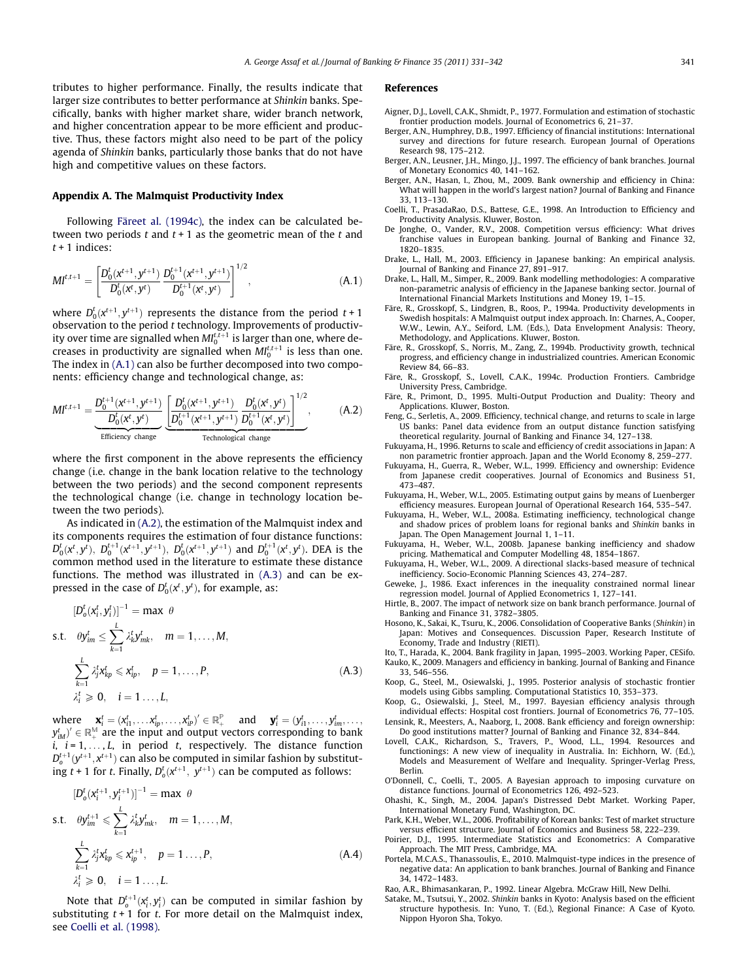<span id="page-10-0"></span>tributes to higher performance. Finally, the results indicate that larger size contributes to better performance at Shinkin banks. Specifically, banks with higher market share, wider branch network, and higher concentration appear to be more efficient and productive. Thus, these factors might also need to be part of the policy agenda of Shinkin banks, particularly those banks that do not have high and competitive values on these factors.

#### Appendix A. The Malmquist Productivity Index

Following Färeet al. (1994c), the index can be calculated between two periods  $t$  and  $t + 1$  as the geometric mean of the  $t$  and  $t + 1$  indices:

$$
MI^{t,t+1} = \left[ \frac{D_0^t(x^{t+1}, y^{t+1})}{D_0^t(x^t, y^t)} \frac{D_0^{t+1}(x^{t+1}, y^{t+1})}{D_0^{t+1}(x^t, y^t)} \right]^{1/2},
$$
\n(A.1)

where  $D_0^t(x^{t+1}, y^{t+1})$  represents the distance from the period  $t + 1$ observation to the period t technology. Improvements of productivity over time are signalled when  $\mathit{MI}^{t,t+1}_{0}$  is larger than one, where decreases in productivity are signalled when  $MI_0^{t,t+1}$  is less than one. The index in (A.1) can also be further decomposed into two components: efficiency change and technological change, as:

$$
MI^{t,t+1} = \underbrace{\frac{D_0^{t+1}(x^{t+1}, y^{t+1})}{D_0^{t}(x^t, y^t)} \underbrace{\left[\frac{D_0^{t}(x^{t+1}, y^{t+1})}{D_0^{t+1}(x^{t+1}, y^{t+1})} \frac{D_0^{t}(x^t, y^t)}{D_0^{t+1}(x^t, y^t)}\right]^{1/2}}_{\text{Ffficiency change}}, \tag{A.2}
$$

where the first component in the above represents the efficiency change (i.e. change in the bank location relative to the technology between the two periods) and the second component represents the technological change (i.e. change in technology location between the two periods).

As indicated in (A.2), the estimation of the Malmquist index and its components requires the estimation of four distance functions:  $D_0^t(x^t, y^t)$ ,  $D_0^{t+1}(x^{t+1}, y^{t+1})$ ,  $D_0^t(x^{t+1}, y^{t+1})$  and  $D_0^{t+1}(x^t, y^t)$ . DEA is the common method used in the literature to estimate these distance functions. The method was illustrated in (A.3) and can be expressed in the case of  $D_0^t(x^t, y^t)$ , for example, as:

$$
[D_o^t(x_i^t, y_i^t)]^{-1} = \max \theta
$$
  
s.t.  $\theta y_{im}^t \le \sum_{k=1}^L \lambda_k^t y_{mk}^t, \quad m = 1, ..., M,$   

$$
\sum_{k=1}^L \lambda_j^t x_{kp}^t \le x_{ip}^t, \quad p = 1, ..., P,
$$
  
 $\lambda_i^t \ge 0, \quad i = 1 ..., L,$  (A.3)

where  $\mathbf{x}_i^t = (x_{i1}^t, \dots x_{ip}^t, \dots, x_{ip}^t)' \in \mathbb{R}_+^{\mathbb{P}}$  and  $\mathbf{y}_i^t = (y_{i1}^t, \dots, y_{im}^t, \dots,$  ${\mathcal Y}^{t}_{\text{IM}})^\prime \in {\mathbb R}^{\mathbb M}_+$  are the input and output vectors corresponding to bank  $i, i = 1, \ldots, L$ , in period  $t$ , respectively. The distance function  $D_o^{t+1}(y^{t+1},x^{t+1})$  can also be computed in similar fashion by substituting  $t + 1$  for t. Finally,  $D_0^t(x^{t+1}, y^{t+1})$  can be computed as follows:

$$
[D_0^t(x_i^{t+1}, y_i^{t+1})]^{-1} = \max \theta
$$
  
s.t.  $\theta y_{im}^{t+1} \le \sum_{k=1}^L \lambda_k^t y_{mk}^t, \quad m = 1, ..., M,$   

$$
\sum_{k=1}^L \lambda_j^t x_{kp}^t \le x_{ip}^{t+1}, \quad p = 1 ..., P,
$$
  
 $\lambda_i^t \ge 0, \quad i = 1 ..., L.$  (A.4)

Note that  $D_o^{t+1}(x_i^t, y_i^t)$  can be computed in similar fashion by substituting  $t + 1$  for  $t$ . For more detail on the Malmquist index, see Coelli et al. (1998).

#### References

- Aigner, D.J., Lovell, C.A.K., Shmidt, P., 1977. Formulation and estimation of stochastic frontier production models. Journal of Econometrics 6, 21–37.
- Berger, A.N., Humphrey, D.B., 1997. Efficiency of financial institutions: International survey and directions for future research. European Journal of Operations Research 98, 175–212.
- Berger, A.N., Leusner, J.H., Mingo, J.J., 1997. The efficiency of bank branches. Journal of Monetary Economics 40, 141–162.
- Berger, A.N., Hasan, I., Zhou, M., 2009. Bank ownership and efficiency in China: What will happen in the world's largest nation? Journal of Banking and Finance 33, 113–130.
- Coelli, T., PrasadaRao, D.S., Battese, G.E., 1998. An Introduction to Efficiency and Productivity Analysis. Kluwer, Boston.
- De Jonghe, O., Vander, R.V., 2008. Competition versus efficiency: What drives franchise values in European banking. Journal of Banking and Finance 32, 1820–1835.
- Drake, L., Hall, M., 2003. Efficiency in Japanese banking: An empirical analysis. Journal of Banking and Finance 27, 891–917.
- Drake, L., Hall, M., Simper, R., 2009. Bank modelling methodologies: A comparative non-parametric analysis of efficiency in the Japanese banking sector. Journal of International Financial Markets Institutions and Money 19, 1–15.
- Färe, R., Grosskopf, S., Lindgren, B., Roos, P., 1994a. Productivity developments in Swedish hospitals: A Malmquist output index approach. In: Charnes, A., Cooper, W.W., Lewin, A.Y., Seiford, L.M. (Eds.), Data Envelopment Analysis: Theory, Methodology, and Applications. Kluwer, Boston.
- Färe, R., Grosskopf, S., Norris, M., Zang, Z., 1994b. Productivity growth, technical progress, and efficiency change in industrialized countries. American Economic Review 84, 66–83.
- Färe, R., Grosskopf, S., Lovell, C.A.K., 1994c. Production Frontiers. Cambridge University Press, Cambridge.
- Färe, R., Primont, D., 1995. Multi-Output Production and Duality: Theory and Applications. Kluwer, Boston.
- Feng, G., Serletis, A., 2009. Efficiency, technical change, and returns to scale in large US banks: Panel data evidence from an output distance function satisfying theoretical regularity. Journal of Banking and Finance 34, 127–138.
- Fukuyama, H., 1996. Returns to scale and efficiency of credit associations in Japan: A non parametric frontier approach. Japan and the World Economy 8, 259–277.
- Fukuyama, H., Guerra, R., Weber, W.L., 1999. Efficiency and ownership: Evidence from Japanese credit cooperatives. Journal of Economics and Business 51, 473–487.
- Fukuyama, H., Weber, W.L., 2005. Estimating output gains by means of Luenberger efficiency measures. European Journal of Operational Research 164, 535–547.
- Fukuyama, H., Weber, W.L., 2008a. Estimating inefficiency, technological change and shadow prices of problem loans for regional banks and Shinkin banks in Japan. The Open Management Journal 1, 1–11.
- Fukuyama, H., Weber, W.L., 2008b. Japanese banking inefficiency and shadow pricing. Mathematical and Computer Modelling 48, 1854–1867.
- Fukuyama, H., Weber, W.L., 2009. A directional slacks-based measure of technical inefficiency. Socio-Economic Planning Sciences 43, 274–287.
- Geweke, J., 1986. Exact inferences in the inequality constrained normal linear regression model. Journal of Applied Econometrics 1, 127–141.
- Hirtle, B., 2007. The impact of network size on bank branch performance. Journal of Banking and Finance 31, 3782–3805.
- Hosono, K., Sakai, K., Tsuru, K., 2006. Consolidation of Cooperative Banks (Shinkin) in Japan: Motives and Consequences. Discussion Paper, Research Institute of Economy, Trade and Industry (RIETI).
- Ito, T., Harada, K., 2004. Bank fragility in Japan, 1995–2003. Working Paper, CESifo. Kauko, K., 2009. Managers and efficiency in banking. Journal of Banking and Finance 33, 546–556.
- Koop, G., Steel, M., Osiewalski, J., 1995. Posterior analysis of stochastic frontier models using Gibbs sampling. Computational Statistics 10, 353–373.
- Koop, G., Osiewalski, J., Steel, M., 1997. Bayesian efficiency analysis through individual effects: Hospital cost frontiers. Journal of Econometrics 76, 77–105.
- Lensink, R., Meesters, A., Naaborg, I., 2008. Bank efficiency and foreign ownership: Do good institutions matter? Journal of Banking and Finance 32, 834–844.
- Lovell, C.A.K., Richardson, S., Travers, P., Wood, L.L., 1994. Resources and functionings: A new view of inequality in Australia. In: Eichhorn, W. (Ed.), Models and Measurement of Welfare and Inequality. Springer-Verlag Press, Berlin.
- O'Donnell, C., Coelli, T., 2005. A Bayesian approach to imposing curvature on distance functions. Journal of Econometrics 126, 492–523.
- Ohashi, K., Singh, M., 2004. Japan's Distressed Debt Market. Working Paper, International Monetary Fund, Washington, DC.
- Park, K.H., Weber, W.L., 2006. Profitability of Korean banks: Test of market structure versus efficient structure. Journal of Economics and Business 58, 222–239.
- Poirier, D.J., 1995. Intermediate Statistics and Econometrics: A Comparative Approach. The MIT Press, Cambridge, MA.
- Portela, M.C.A.S., Thanassoulis, E., 2010. Malmquist-type indices in the presence of negative data: An application to bank branches. Journal of Banking and Finance 34, 1472–1483.
- Rao, A.R., Bhimasankaran, P., 1992. Linear Algebra. McGraw Hill, New Delhi.
- Satake, M., Tsutsui, Y., 2002. Shinkin banks in Kyoto: Analysis based on the efficient structure hypothesis. In: Yuno, T. (Ed.), Regional Finance: A Case of Kyoto. Nippon Hyoron Sha, Tokyo.